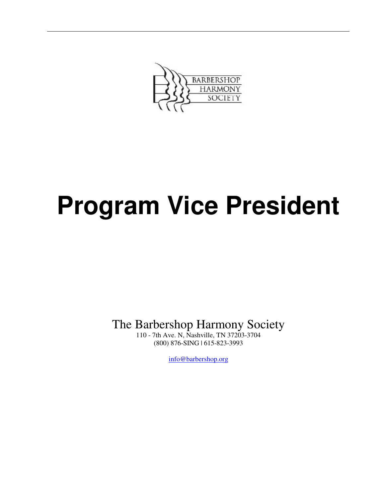

# **Program Vice President**

The Barbershop Harmony Society

110 - 7th Ave. N, Nashville, TN 37203-3704 (800) 876-SING | 615-823-3993

info@barbershop.org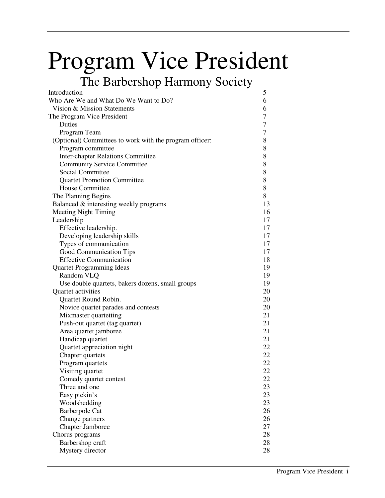# Program Vice President

## The Barbershop Harmony Society

| Introduction                                            | 5  |
|---------------------------------------------------------|----|
| Who Are We and What Do We Want to Do?                   | 6  |
| Vision & Mission Statements                             | 6  |
| The Program Vice President                              | 7  |
| Duties                                                  | 7  |
| Program Team                                            | 7  |
| (Optional) Committees to work with the program officer: | 8  |
| Program committee                                       | 8  |
| <b>Inter-chapter Relations Committee</b>                | 8  |
| <b>Community Service Committee</b>                      | 8  |
| Social Committee                                        | 8  |
| <b>Quartet Promotion Committee</b>                      | 8  |
| <b>House Committee</b>                                  | 8  |
| The Planning Begins                                     | 8  |
| Balanced & interesting weekly programs                  | 13 |
| <b>Meeting Night Timing</b>                             | 16 |
| Leadership                                              | 17 |
| Effective leadership.                                   | 17 |
| Developing leadership skills                            | 17 |
| Types of communication                                  | 17 |
| Good Communication Tips                                 | 17 |
| <b>Effective Communication</b>                          | 18 |
| <b>Quartet Programming Ideas</b>                        | 19 |
| Random VLQ                                              | 19 |
| Use double quartets, bakers dozens, small groups        | 19 |
| Quartet activities                                      | 20 |
| Quartet Round Robin.                                    | 20 |
| Novice quartet parades and contests                     | 20 |
| Mixmaster quartetting                                   | 21 |
| Push-out quartet (tag quartet)                          | 21 |
| Area quartet jamboree                                   | 21 |
| Handicap quartet                                        | 21 |
| Quartet appreciation night                              | 22 |
| Chapter quartets                                        | 22 |
| Program quartets                                        | 22 |
| Visiting quartet                                        | 22 |
| Comedy quartet contest                                  | 22 |
| Three and one                                           | 23 |
| Easy pickin's                                           | 23 |
| Woodshedding                                            | 23 |
| <b>Barberpole Cat</b>                                   | 26 |
| Change partners                                         | 26 |
| <b>Chapter Jamboree</b>                                 | 27 |
| Chorus programs                                         | 28 |
| Barbershop craft                                        | 28 |
| Mystery director                                        | 28 |
|                                                         |    |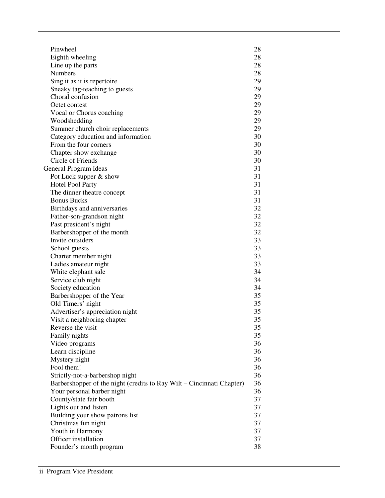| Pinwheel                                                              | 28 |
|-----------------------------------------------------------------------|----|
| Eighth wheeling                                                       | 28 |
| Line up the parts                                                     | 28 |
| <b>Numbers</b>                                                        | 28 |
| Sing it as it is repertoire                                           | 29 |
| Sneaky tag-teaching to guests                                         | 29 |
| Choral confusion                                                      | 29 |
| Octet contest                                                         | 29 |
| Vocal or Chorus coaching                                              | 29 |
| Woodshedding                                                          | 29 |
| Summer church choir replacements                                      | 29 |
| Category education and information                                    | 30 |
| From the four corners                                                 | 30 |
| Chapter show exchange                                                 | 30 |
| Circle of Friends                                                     | 30 |
| General Program Ideas                                                 | 31 |
| Pot Luck supper & show                                                | 31 |
| <b>Hotel Pool Party</b>                                               | 31 |
| The dinner theatre concept                                            | 31 |
| <b>Bonus Bucks</b>                                                    | 31 |
| Birthdays and anniversaries                                           | 32 |
| Father-son-grandson night                                             | 32 |
| Past president's night                                                | 32 |
| Barbershopper of the month                                            | 32 |
| Invite outsiders                                                      | 33 |
| School guests                                                         | 33 |
| Charter member night                                                  | 33 |
| Ladies amateur night                                                  | 33 |
| White elephant sale                                                   | 34 |
| Service club night                                                    | 34 |
| Society education                                                     | 34 |
| Barbershopper of the Year                                             | 35 |
| Old Timers' night                                                     | 35 |
| Advertiser's appreciation night                                       | 35 |
| Visit a neighboring chapter                                           | 35 |
| Reverse the visit                                                     | 35 |
| Family nights                                                         | 35 |
| Video programs                                                        | 36 |
| Learn discipline                                                      | 36 |
| Mystery night                                                         | 36 |
| Fool them!                                                            | 36 |
| Strictly-not-a-barbershop night                                       | 36 |
| Barbershopper of the night (credits to Ray Wilt – Cincinnati Chapter) | 36 |
| Your personal barber night                                            | 36 |
| County/state fair booth                                               | 37 |
| Lights out and listen                                                 | 37 |
| Building your show patrons list                                       | 37 |
| Christmas fun night                                                   | 37 |
| Youth in Harmony                                                      | 37 |
| Officer installation                                                  | 37 |
| Founder's month program                                               | 38 |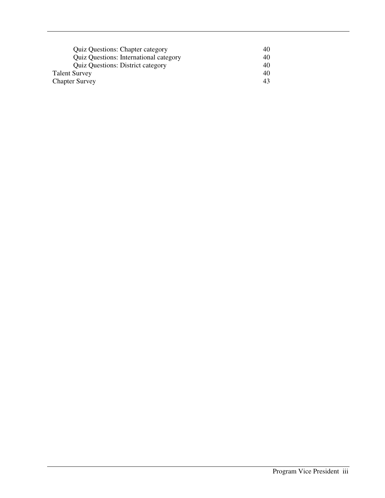| <b>Quiz Questions: Chapter category</b>       | 40 |
|-----------------------------------------------|----|
| <b>Quiz Questions: International category</b> | 40 |
| <b>Quiz Questions: District category</b>      | 40 |
| <b>Talent Survey</b>                          | 40 |
| <b>Chapter Survey</b>                         | 43 |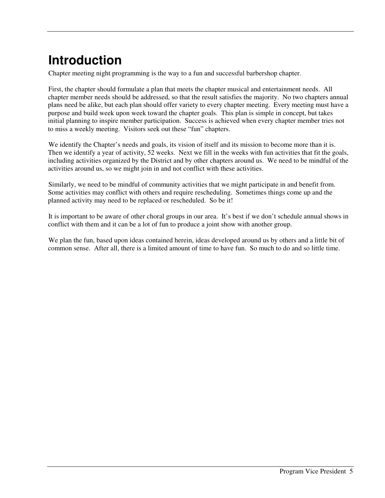# **Introduction**

Chapter meeting night programming is the way to a fun and successful barbershop chapter.

First, the chapter should formulate a plan that meets the chapter musical and entertainment needs. All chapter member needs should be addressed, so that the result satisfies the majority. No two chapters annual plans need be alike, but each plan should offer variety to every chapter meeting. Every meeting must have a purpose and build week upon week toward the chapter goals. This plan is simple in concept, but takes initial planning to inspire member participation. Success is achieved when every chapter member tries not to miss a weekly meeting. Visitors seek out these "fun" chapters.

We identify the Chapter's needs and goals, its vision of itself and its mission to become more than it is. Then we identify a year of activity, 52 weeks. Next we fill in the weeks with fun activities that fit the goals, including activities organized by the District and by other chapters around us. We need to be mindful of the activities around us, so we might join in and not conflict with these activities.

Similarly, we need to be mindful of community activities that we might participate in and benefit from. Some activities may conflict with others and require rescheduling. Sometimes things come up and the planned activity may need to be replaced or rescheduled. So be it!

It is important to be aware of other choral groups in our area. It's best if we don't schedule annual shows in conflict with them and it can be a lot of fun to produce a joint show with another group.

We plan the fun, based upon ideas contained herein, ideas developed around us by others and a little bit of common sense. After all, there is a limited amount of time to have fun. So much to do and so little time.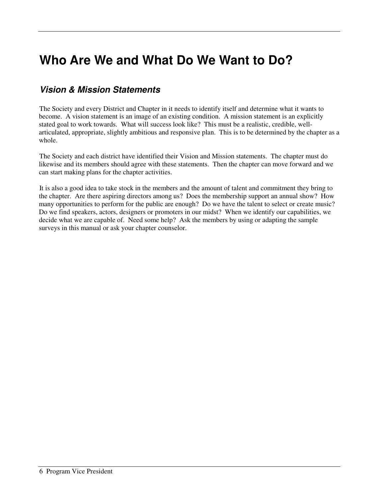# **Who Are We and What Do We Want to Do?**

#### **Vision & Mission Statements**

The Society and every District and Chapter in it needs to identify itself and determine what it wants to become. A vision statement is an image of an existing condition. A mission statement is an explicitly stated goal to work towards. What will success look like? This must be a realistic, credible, wellarticulated, appropriate, slightly ambitious and responsive plan. This is to be determined by the chapter as a whole.

The Society and each district have identified their Vision and Mission statements. The chapter must do likewise and its members should agree with these statements. Then the chapter can move forward and we can start making plans for the chapter activities.

It is also a good idea to take stock in the members and the amount of talent and commitment they bring to the chapter. Are there aspiring directors among us? Does the membership support an annual show? How many opportunities to perform for the public are enough? Do we have the talent to select or create music? Do we find speakers, actors, designers or promoters in our midst? When we identify our capabilities, we decide what we are capable of. Need some help? Ask the members by using or adapting the sample surveys in this manual or ask your chapter counselor.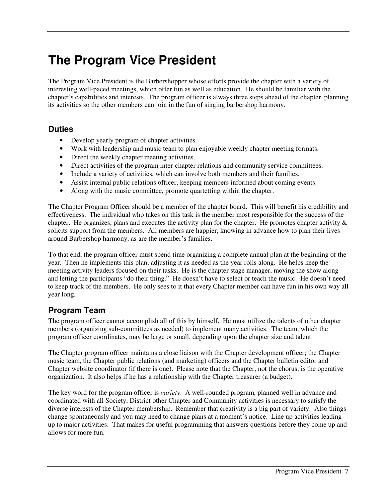# **The Program Vice President**

The Program Vice President is the Barbershopper whose efforts provide the chapter with a variety of interesting well-paced meetings, which offer fun as well as education. He should be familiar with the chapter's capabilities and interests. The program officer is always three steps ahead of the chapter, planning its activities so the other members can join in the fun of singing barbershop harmony.

#### **Duties**

- Develop yearly program of chapter activities.
- Work with leadership and music team to plan enjoyable weekly chapter meeting formats.
- Direct the weekly chapter meeting activities.
- Direct activities of the program inter-chapter relations and community service committees.
- Include a variety of activities, which can involve both members and their families.
- Assist internal public relations officer, keeping members informed about coming events.
- Along with the music committee, promote quartetting within the chapter.

The Chapter Program Officer should be a member of the chapter board. This will benefit his credibility and effectiveness. The individual who takes on this task is the member most responsible for the success of the chapter. He organizes, plans and executes the activity plan for the chapter. He promotes chapter activity  $\&$ solicits support from the members. All members are happier, knowing in advance how to plan their lives around Barbershop harmony, as are the member's families.

To that end, the program officer must spend time organizing a complete annual plan at the beginning of the year. Then he implements this plan, adjusting it as needed as the year rolls along. He helps keep the meeting activity leaders focused on their tasks. He is the chapter stage manager, moving the show along and letting the participants "do their thing." He doesn't have to select or teach the music. He doesn't need to keep track of the members. He only sees to it that every Chapter member can have fun in his own way all year long.

#### **Program Team**

The program officer cannot accomplish all of this by himself. He must utilize the talents of other chapter members (organizing sub-committees as needed) to implement many activities. The team, which the program officer coordinates, may be large or small, depending upon the chapter size and talent.

The Chapter program officer maintains a close liaison with the Chapter development officer; the Chapter music team, the Chapter public relations (and marketing) officers and the Chapter bulletin editor and Chapter website coordinator (if there is one). Please note that the Chapter, not the chorus, is the operative organization. It also helps if he has a relationship with the Chapter treasurer (a budget).

The key word for the program officer is *variety*. A well-rounded program, planned well in advance and coordinated with all Society, District other Chapter and Community activities is necessary to satisfy the diverse interests of the Chapter membership. Remember that creativity is a big part of variety. Also things change spontaneously and you may need to change plans at a moment's notice. Line up activities leading up to major activities. That makes for useful programming that answers questions before they come up and allows for more fun.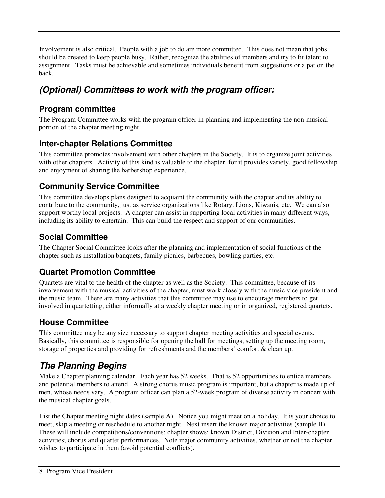Involvement is also critical. People with a job to do are more committed. This does not mean that jobs should be created to keep people busy. Rather, recognize the abilities of members and try to fit talent to assignment. Tasks must be achievable and sometimes individuals benefit from suggestions or a pat on the back.

## **(Optional) Committees to work with the program officer:**

#### **Program committee**

The Program Committee works with the program officer in planning and implementing the non-musical portion of the chapter meeting night.

#### **Inter-chapter Relations Committee**

This committee promotes involvement with other chapters in the Society. It is to organize joint activities with other chapters. Activity of this kind is valuable to the chapter, for it provides variety, good fellowship and enjoyment of sharing the barbershop experience.

#### **Community Service Committee**

This committee develops plans designed to acquaint the community with the chapter and its ability to contribute to the community, just as service organizations like Rotary, Lions, Kiwanis, etc. We can also support worthy local projects. A chapter can assist in supporting local activities in many different ways, including its ability to entertain. This can build the respect and support of our communities.

#### **Social Committee**

The Chapter Social Committee looks after the planning and implementation of social functions of the chapter such as installation banquets, family picnics, barbecues, bowling parties, etc.

#### **Quartet Promotion Committee**

Quartets are vital to the health of the chapter as well as the Society. This committee, because of its involvement with the musical activities of the chapter, must work closely with the music vice president and the music team. There are many activities that this committee may use to encourage members to get involved in quartetting, either informally at a weekly chapter meeting or in organized, registered quartets.

#### **House Committee**

This committee may be any size necessary to support chapter meeting activities and special events. Basically, this committee is responsible for opening the hall for meetings, setting up the meeting room, storage of properties and providing for refreshments and the members' comfort & clean up.

## **The Planning Begins**

Make a Chapter planning calendar. Each year has 52 weeks. That is 52 opportunities to entice members and potential members to attend. A strong chorus music program is important, but a chapter is made up of men, whose needs vary. A program officer can plan a 52-week program of diverse activity in concert with the musical chapter goals.

List the Chapter meeting night dates (sample A). Notice you might meet on a holiday. It is your choice to meet, skip a meeting or reschedule to another night. Next insert the known major activities (sample B). These will include competitions/conventions; chapter shows; known District, Division and Inter-chapter activities; chorus and quartet performances. Note major community activities, whether or not the chapter wishes to participate in them (avoid potential conflicts).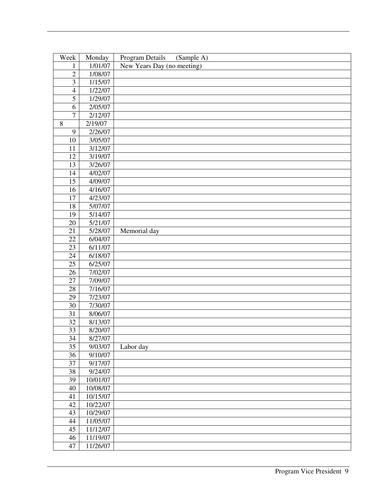| Week           | Monday   | Program Details<br>(Sample A) |
|----------------|----------|-------------------------------|
| 1              | 1/01/07  | New Years Day (no meeting)    |
| $\overline{2}$ | 1/08/07  |                               |
| 3              | 1/15/07  |                               |
| $\overline{4}$ | 1/22/07  |                               |
| $\overline{5}$ | 1/29/07  |                               |
| 6              | 2/05/07  |                               |
| $\overline{7}$ | 2/12/07  |                               |
| $\,8\,$        | 2/19/07  |                               |
| 9              | 2/26/07  |                               |
| 10             | 3/05/07  |                               |
| 11             | 3/12/07  |                               |
| 12             | 3/19/07  |                               |
| 13             | 3/26/07  |                               |
| 14             | 4/02/07  |                               |
| 15             | 4/09/07  |                               |
| 16             | 4/16/07  |                               |
| 17             | 4/23/07  |                               |
| 18             | 5/07/07  |                               |
| 19             | 5/14/07  |                               |
| 20             | 5/21/07  |                               |
| 21             | 5/28/07  | Memorial day                  |
| 22             | 6/04/07  |                               |
| 23             | 6/11/07  |                               |
| 24             | 6/18/07  |                               |
| 25             | 6/25/07  |                               |
| 26             | 7/02/07  |                               |
| 27             | 7/09/07  |                               |
| 28             | 7/16/07  |                               |
| 29             | 7/23/07  |                               |
| 30             | 7/30/07  |                               |
| 31             | 8/06/07  |                               |
| 32             | 8/13/07  |                               |
| 33             | 8/20/07  |                               |
| 34             | 8/27/07  |                               |
| 35             | 9/03/07  | Labor day                     |
| 36             | 9/10/07  |                               |
| 37             | 9/17/07  |                               |
| 38             | 9/24/07  |                               |
| 39             | 10/01/07 |                               |
| 40             | 10/08/07 |                               |
| 41             | 10/15/07 |                               |
| 42             | 10/22/07 |                               |
| 43             | 10/29/07 |                               |
| 44             | 11/05/07 |                               |
| 45             | 11/12/07 |                               |
| 46             | 11/19/07 |                               |
| 47             | 11/26/07 |                               |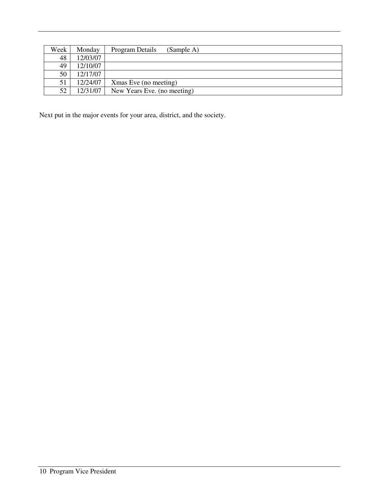| Week | Monday   | Program Details<br>(Sample A) |
|------|----------|-------------------------------|
| 48   | 12/03/07 |                               |
| 49   | 12/10/07 |                               |
| 50   | 12/17/07 |                               |
| 51   | 12/24/07 | Xmas Eve (no meeting)         |
| 52   | 12/31/07 | New Years Eve. (no meeting)   |

Next put in the major events for your area, district, and the society.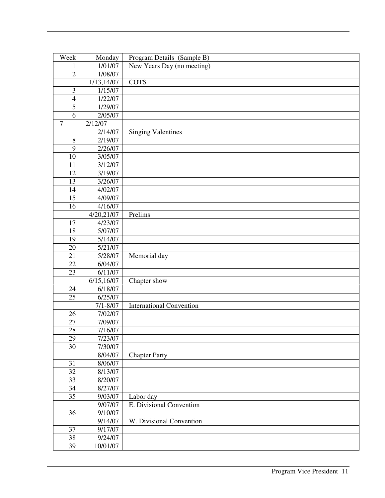| Week            | Monday                  | Program Details (Sample B)      |
|-----------------|-------------------------|---------------------------------|
| 1               | 1/01/07                 | New Years Day (no meeting)      |
| $\overline{2}$  | 1/08/07                 |                                 |
|                 | $\overline{1/13,}14/07$ | <b>COTS</b>                     |
| $\mathfrak{Z}$  | 1/15/07                 |                                 |
| $\overline{4}$  | 1/22/07                 |                                 |
| $\overline{5}$  | 1/29/07                 |                                 |
| 6               | 2/05/07                 |                                 |
| $\overline{7}$  | 2/12/07                 |                                 |
|                 | 2/14/07                 | <b>Singing Valentines</b>       |
| $\, 8$          | 2/19/07                 |                                 |
| 9               | 2/26/07                 |                                 |
| 10              | 3/05/07                 |                                 |
| 11              | 3/12/07                 |                                 |
| 12              | 3/19/07                 |                                 |
| 13              | 3/26/07                 |                                 |
| 14              | 4/02/07                 |                                 |
| 15              | 4/09/07                 |                                 |
| 16              | 4/16/07                 |                                 |
|                 | 4/20,21/07              | Prelims                         |
| 17              | 4/23/07                 |                                 |
| 18              | 5/07/07                 |                                 |
| 19              | 5/14/07                 |                                 |
| 20              | 5/21/07                 |                                 |
| $\overline{21}$ | 5/28/07                 | Memorial day                    |
| 22              | 6/04/07                 |                                 |
| 23              | 6/11/07                 |                                 |
|                 | 6/15,16/07              | Chapter show                    |
| 24              | 6/18/07                 |                                 |
| 25              | 6/25/07                 |                                 |
|                 | $7/1 - 8/07$            | <b>International Convention</b> |
| 26              | 7/02/07                 |                                 |
| 27              | 7/09/07                 |                                 |
| 28              | 7/16/07                 |                                 |
| 29              | 7/23/07                 |                                 |
| 30              | 7/30/07                 |                                 |
|                 | 8/04/07                 | <b>Chapter Party</b>            |
| 31              | 8/06/07                 |                                 |
| 32              | 8/13/07                 |                                 |
| 33              | 8/20/07                 |                                 |
| 34              | 8/27/07                 |                                 |
| 35              | 9/03/07                 | Labor day                       |
|                 | 9/07/07                 | E. Divisional Convention        |
| 36              | 9/10/07                 |                                 |
|                 | 9/14/07                 | W. Divisional Convention        |
| 37              | 9/17/07                 |                                 |
| $38\,$          | 9/24/07                 |                                 |
| 39              | 10/01/07                |                                 |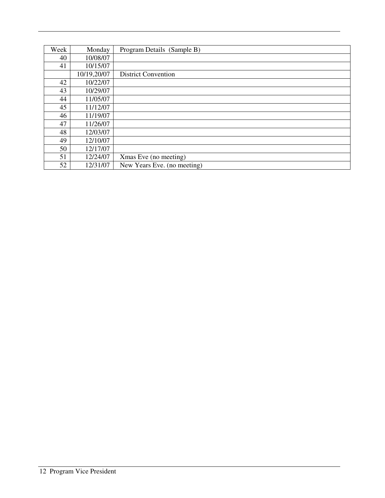| Week | Monday      | Program Details (Sample B)  |
|------|-------------|-----------------------------|
| 40   | 10/08/07    |                             |
| 41   | 10/15/07    |                             |
|      | 10/19,20/07 | <b>District Convention</b>  |
| 42   | 10/22/07    |                             |
| 43   | 10/29/07    |                             |
| 44   | 11/05/07    |                             |
| 45   | 11/12/07    |                             |
| 46   | 11/19/07    |                             |
| 47   | 11/26/07    |                             |
| 48   | 12/03/07    |                             |
| 49   | 12/10/07    |                             |
| 50   | 12/17/07    |                             |
| 51   | 12/24/07    | Xmas Eve (no meeting)       |
| 52   | 12/31/07    | New Years Eve. (no meeting) |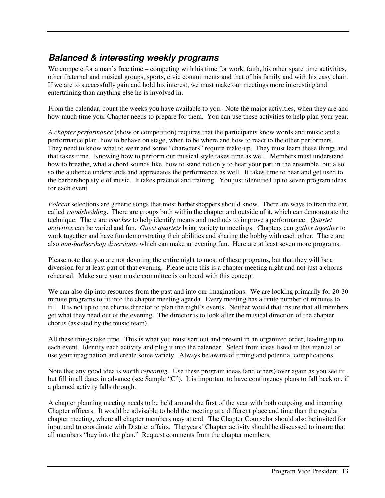#### **Balanced & interesting weekly programs**

We compete for a man's free time – competing with his time for work, faith, his other spare time activities, other fraternal and musical groups, sports, civic commitments and that of his family and with his easy chair. If we are to successfully gain and hold his interest, we must make our meetings more interesting and entertaining than anything else he is involved in.

From the calendar, count the weeks you have available to you. Note the major activities, when they are and how much time your Chapter needs to prepare for them. You can use these activities to help plan your year.

*A chapter performance* (show or competition) requires that the participants know words and music and a performance plan, how to behave on stage, when to be where and how to react to the other performers. They need to know what to wear and some "characters" require make-up. They must learn these things and that takes time. Knowing how to perform our musical style takes time as well. Members must understand how to breathe, what a chord sounds like, how to stand not only to hear your part in the ensemble, but also so the audience understands and appreciates the performance as well. It takes time to hear and get used to the barbershop style of music. It takes practice and training. You just identified up to seven program ideas for each event.

*Polecat* selections are generic songs that most barbershoppers should know. There are ways to train the ear, called *woodshedding*. There are groups both within the chapter and outside of it, which can demonstrate the technique. There are *coaches* to help identify means and methods to improve a performance. *Quartet activities* can be varied and fun. *Guest quartets* bring variety to meetings. Chapters can *gather together* to work together and have fun demonstrating their abilities and sharing the hobby with each other. There are also *non-barbershop diversions*, which can make an evening fun. Here are at least seven more programs.

Please note that you are not devoting the entire night to most of these programs, but that they will be a diversion for at least part of that evening. Please note this is a chapter meeting night and not just a chorus rehearsal. Make sure your music committee is on board with this concept.

We can also dip into resources from the past and into our imaginations. We are looking primarily for 20-30 minute programs to fit into the chapter meeting agenda. Every meeting has a finite number of minutes to fill. It is not up to the chorus director to plan the night's events. Neither would that insure that all members get what they need out of the evening. The director is to look after the musical direction of the chapter chorus (assisted by the music team).

All these things take time. This is what you must sort out and present in an organized order, leading up to each event. Identify each activity and plug it into the calendar. Select from ideas listed in this manual or use your imagination and create some variety. Always be aware of timing and potential complications.

Note that any good idea is worth *repeating*. Use these program ideas (and others) over again as you see fit, but fill in all dates in advance (see Sample "C"). It is important to have contingency plans to fall back on, if a planned activity falls through.

A chapter planning meeting needs to be held around the first of the year with both outgoing and incoming Chapter officers. It would be advisable to hold the meeting at a different place and time than the regular chapter meeting, where all chapter members may attend. The Chapter Counselor should also be invited for input and to coordinate with District affairs. The years' Chapter activity should be discussed to insure that all members "buy into the plan." Request comments from the chapter members.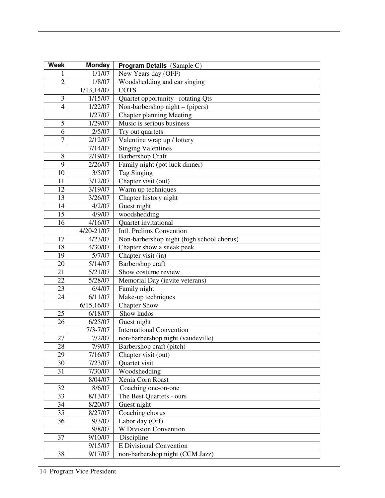| <b>Week</b>                                       | <b>Monday</b> | <b>Program Details</b> (Sample C)         |  |
|---------------------------------------------------|---------------|-------------------------------------------|--|
| 1                                                 | 1/1/07        | New Years day (OFF)                       |  |
| $\overline{2}$                                    | 1/8/07        | Woodshedding and ear singing              |  |
|                                                   | 1/13,14/07    | <b>COTS</b>                               |  |
| 3<br>1/15/07<br>Quartet opportunity -rotating Qts |               |                                           |  |
| $\overline{4}$                                    | 1/22/07       | Non-barbershop night – (pipers)           |  |
|                                                   | 1/27/07       | <b>Chapter planning Meeting</b>           |  |
| 5                                                 | 1/29/07       | Music is serious business                 |  |
| 6                                                 | 2/5/07        | Try out quartets                          |  |
| $\overline{7}$                                    | 2/12/07       | Valentine wrap up / lottery               |  |
|                                                   | 7/14/07       | <b>Singing Valentines</b>                 |  |
| 8                                                 | 2/19/07       | Barbershop Craft                          |  |
| 9                                                 | 2/26/07       | Family night (pot luck dinner)            |  |
| 10                                                | 3/5/07        | <b>Tag Singing</b>                        |  |
| 11                                                | 3/12/07       | Chapter visit (out)                       |  |
| 12                                                | 3/19/07       | Warm up techniques                        |  |
| 13                                                | 3/26/07       | Chapter history night                     |  |
| 14                                                | 4/2/07        | Guest night                               |  |
| 15                                                | 4/9/07        | woodshedding                              |  |
| 16                                                | 4/16/07       | Quartet invitational                      |  |
|                                                   | 4/20-21/07    | Intl. Prelims Convention                  |  |
| 17                                                | 4/23/07       | Non-barbershop night (high school chorus) |  |
| 18                                                | 4/30/07       | Chapter show a sneak peek.                |  |
| 19                                                | 5/7/07        | Chapter visit (in)                        |  |
| 20                                                | 5/14/07       | Barbershop craft                          |  |
| 21                                                | 5/21/07       | Show costume review                       |  |
| 22                                                | 5/28/07       | Memorial Day (invite veterans)            |  |
| 23                                                | 6/4/07        | Family night                              |  |
| 24                                                | 6/11/07       | Make-up techniques                        |  |
|                                                   | 6/15,16/07    | <b>Chapter Show</b>                       |  |
| 25                                                | 6/18/07       | Show kudos                                |  |
| 26                                                | 6/25/07       | Guest night                               |  |
|                                                   | $7/3 - 7/07$  | <b>International Convention</b>           |  |
| 27                                                | 7/2/07        | non-barbershop night (vaudeville)         |  |
| 28                                                | 7/9/07        | Barbershop craft (pitch)                  |  |
| 29                                                | 7/16/07       | Chapter visit (out)                       |  |
| 30                                                | 7/23/07       | Quartet visit                             |  |
| 31                                                | 7/30/07       | Woodshedding                              |  |
|                                                   | 8/04/07       | Xenia Corn Roast                          |  |
| 32                                                | 8/6/07        | Coaching one-on-one                       |  |
| 33                                                | 8/13/07       | The Best Quartets - ours                  |  |
| 34                                                | 8/20/07       | Guest night                               |  |
| 35                                                | 8/27/07       | Coaching chorus                           |  |
| 36<br>Labor day (Off)<br>9/3/07                   |               |                                           |  |
|                                                   | 9/8/07        | <b>W</b> Division Convention              |  |
| 37                                                | 9/10/07       | Discipline                                |  |
|                                                   | 9/15/07       | <b>E</b> Divisional Convention            |  |
| 38                                                | 9/17/07       | non-barbershop night (CCM Jazz)           |  |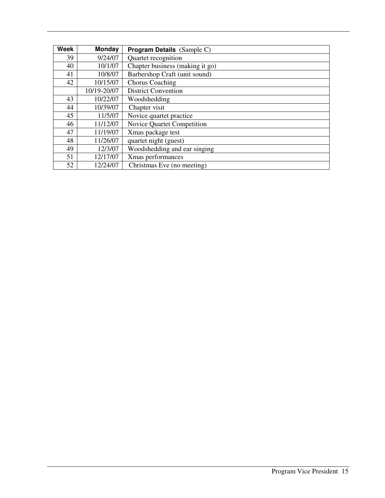| <b>Week</b> | Monday      | <b>Program Details</b> (Sample C) |  |
|-------------|-------------|-----------------------------------|--|
| 39          | 9/24/07     | Quartet recognition               |  |
| 40          | 10/1/07     | Chapter business (making it go)   |  |
| 41          | 10/8/07     | Barbershop Craft (unit sound)     |  |
| 42          | 10/15/07    | <b>Chorus Coaching</b>            |  |
|             | 10/19-20/07 | <b>District Convention</b>        |  |
| 43          | 10/22/07    | Woodshedding                      |  |
| 44          | 10/39/07    | Chapter visit                     |  |
| 45          | 11/5/07     | Novice quartet practice           |  |
| 46          | 11/12/07    | Novice Quartet Competition        |  |
| 47          | 11/19/07    | Xmas package test                 |  |
| 48          | 11/26/07    | quartet night (guest)             |  |
| 49          | 12/3/07     | Woodshedding and ear singing      |  |
| 51          | 12/17/07    | Xmas performances                 |  |
| 52          | 12/24/07    | Christmas Eve (no meeting)        |  |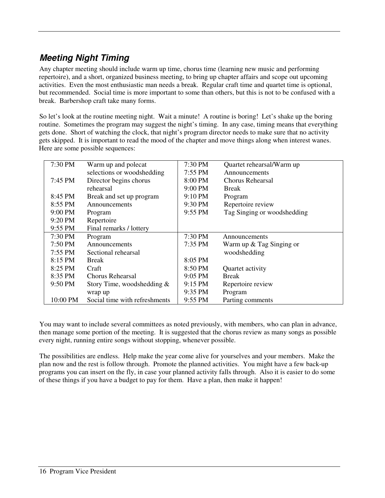## **Meeting Night Timing**

Any chapter meeting should include warm up time, chorus time (learning new music and performing repertoire), and a short, organized business meeting, to bring up chapter affairs and scope out upcoming activities. Even the most enthusiastic man needs a break. Regular craft time and quartet time is optional, but recommended. Social time is more important to some than others, but this is not to be confused with a break. Barbershop craft take many forms.

So let's look at the routine meeting night. Wait a minute! A routine is boring! Let's shake up the boring routine. Sometimes the program may suggest the night's timing. In any case, timing means that everything gets done. Short of watching the clock, that night's program director needs to make sure that no activity gets skipped. It is important to read the mood of the chapter and move things along when interest wanes. Here are some possible sequences:

| 7:30 PM   | Warm up and polecat           | 7:30 PM           | Quartet rehearsal/Warm up   |
|-----------|-------------------------------|-------------------|-----------------------------|
|           | selections or woodshedding    | $7:55$ PM         | Announcements               |
| 7:45 PM   | Director begins chorus        | 8:00 PM           | Chorus Rehearsal            |
|           | rehearsal                     | $9:00$ PM         | <b>Break</b>                |
| 8:45 PM   | Break and set up program      | $9:10$ PM         | Program                     |
| 8:55 PM   | Announcements                 | 9:30 PM           | Repertoire review           |
| $9:00$ PM | Program                       | $9:55$ PM         | Tag Singing or woodshedding |
| 9:20 PM   | Repertoire                    |                   |                             |
| $9:55$ PM | Final remarks / lottery       |                   |                             |
| $7:30$ PM | Program                       | 7:30 PM           | Announcements               |
| 7:50 PM   | Announcements                 | 7:35 PM           | Warm up $&$ Tag Singing or  |
| $7:55$ PM | Sectional rehearsal           |                   | woodshedding                |
| 8:15 PM   | <b>Break</b>                  | 8:05 PM           |                             |
| $8:25$ PM | Craft                         | $8:50 \text{ PM}$ | Quartet activity            |
| 8:35 PM   | Chorus Rehearsal              | $9:05$ PM         | <b>Break</b>                |
| 9:50 PM   | Story Time, woodshedding $&$  | 9:15 PM           | Repertoire review           |
|           | wrap up                       | $9:35$ PM         | Program                     |
| 10:00 PM  | Social time with refreshments | 9:55 PM           | Parting comments            |

You may want to include several committees as noted previously, with members, who can plan in advance, then manage some portion of the meeting. It is suggested that the chorus review as many songs as possible every night, running entire songs without stopping, whenever possible.

The possibilities are endless. Help make the year come alive for yourselves and your members. Make the plan now and the rest is follow through. Promote the planned activities. You might have a few back-up programs you can insert on the fly, in case your planned activity falls through. Also it is easier to do some of these things if you have a budget to pay for them. Have a plan, then make it happen!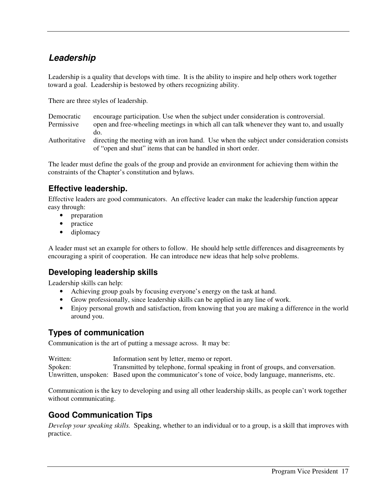### **Leadership**

Leadership is a quality that develops with time. It is the ability to inspire and help others work together toward a goal. Leadership is bestowed by others recognizing ability.

There are three styles of leadership.

| Democratic    | encourage participation. Use when the subject under consideration is controversial.        |
|---------------|--------------------------------------------------------------------------------------------|
| Permissive    | open and free-wheeling meetings in which all can talk whenever they want to, and usually   |
|               | do.                                                                                        |
| Authoritative | directing the meeting with an iron hand. Use when the subject under consideration consists |
|               | of "open and shut" items that can be handled in short order.                               |

The leader must define the goals of the group and provide an environment for achieving them within the constraints of the Chapter's constitution and bylaws.

#### **Effective leadership.**

Effective leaders are good communicators. An effective leader can make the leadership function appear easy through:

- preparation
- practice
- diplomacy

A leader must set an example for others to follow. He should help settle differences and disagreements by encouraging a spirit of cooperation. He can introduce new ideas that help solve problems.

#### **Developing leadership skills**

Leadership skills can help:

- Achieving group goals by focusing everyone's energy on the task at hand.
- Grow professionally, since leadership skills can be applied in any line of work.
- Enjoy personal growth and satisfaction, from knowing that you are making a difference in the world around you.

#### **Types of communication**

Communication is the art of putting a message across. It may be:

| Written: | Information sent by letter, memo or report.                                                       |
|----------|---------------------------------------------------------------------------------------------------|
| Spoken:  | Transmitted by telephone, formal speaking in front of groups, and conversation.                   |
|          | Unwritten, unspoken: Based upon the communicator's tone of voice, body language, mannerisms, etc. |

Communication is the key to developing and using all other leadership skills, as people can't work together without communicating.

#### **Good Communication Tips**

*Develop your speaking skills.* Speaking, whether to an individual or to a group, is a skill that improves with practice.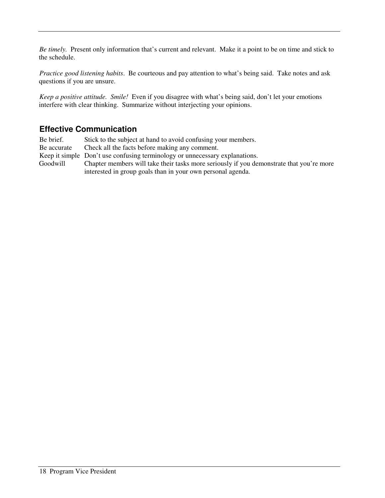*Be timely.* Present only information that's current and relevant. Make it a point to be on time and stick to the schedule.

*Practice good listening habits*. Be courteous and pay attention to what's being said. Take notes and ask questions if you are unsure.

*Keep a positive attitude. Smile!* Even if you disagree with what's being said, don't let your emotions interfere with clear thinking. Summarize without interjecting your opinions.

#### **Effective Communication**

Be brief. Stick to the subject at hand to avoid confusing your members. Be accurate Check all the facts before making any comment. Keep it simple Don't use confusing terminology or unnecessary explanations. Goodwill Chapter members will take their tasks more seriously if you demonstrate that you're more interested in group goals than in your own personal agenda.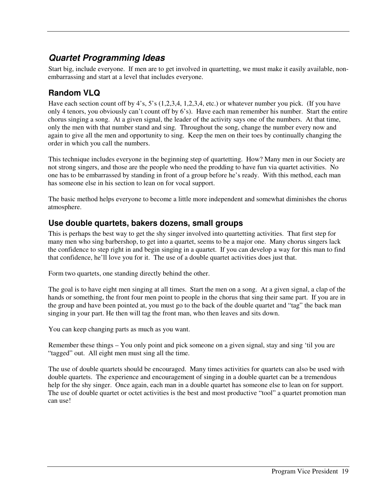### **Quartet Programming Ideas**

Start big, include everyone. If men are to get involved in quartetting, we must make it easily available, nonembarrassing and start at a level that includes everyone.

#### **Random VLQ**

Have each section count off by 4's, 5's (1,2,3,4, 1,2,3,4, etc.) or whatever number you pick. (If you have only 4 tenors, you obviously can't count off by 6's). Have each man remember his number. Start the entire chorus singing a song. At a given signal, the leader of the activity says one of the numbers. At that time, only the men with that number stand and sing. Throughout the song, change the number every now and again to give all the men and opportunity to sing. Keep the men on their toes by continually changing the order in which you call the numbers.

This technique includes everyone in the beginning step of quartetting. How? Many men in our Society are not strong singers, and those are the people who need the prodding to have fun via quartet activities. No one has to be embarrassed by standing in front of a group before he's ready. With this method, each man has someone else in his section to lean on for vocal support.

The basic method helps everyone to become a little more independent and somewhat diminishes the chorus atmosphere.

#### **Use double quartets, bakers dozens, small groups**

This is perhaps the best way to get the shy singer involved into quartetting activities. That first step for many men who sing barbershop, to get into a quartet, seems to be a major one. Many chorus singers lack the confidence to step right in and begin singing in a quartet. If you can develop a way for this man to find that confidence, he'll love you for it. The use of a double quartet activities does just that.

Form two quartets, one standing directly behind the other.

The goal is to have eight men singing at all times. Start the men on a song. At a given signal, a clap of the hands or something, the front four men point to people in the chorus that sing their same part. If you are in the group and have been pointed at, you must go to the back of the double quartet and "tag" the back man singing in your part. He then will tag the front man, who then leaves and sits down.

You can keep changing parts as much as you want.

Remember these things – You only point and pick someone on a given signal, stay and sing 'til you are "tagged" out. All eight men must sing all the time.

The use of double quartets should be encouraged. Many times activities for quartets can also be used with double quartets. The experience and encouragement of singing in a double quartet can be a tremendous help for the shy singer. Once again, each man in a double quartet has someone else to lean on for support. The use of double quartet or octet activities is the best and most productive "tool" a quartet promotion man can use!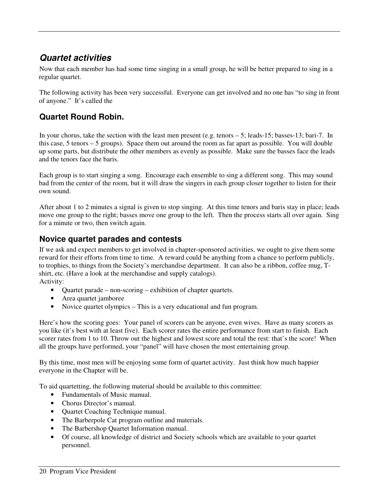#### **Quartet activities**

Now that each member has had some time singing in a small group, he will be better prepared to sing in a regular quartet.

The following activity has been very successful. Everyone can get involved and no one has "to sing in front of anyone." It's called the

#### **Quartet Round Robin.**

In your chorus, take the section with the least men present (e.g. tenors – 5; leads-15; basses-13; bari-7. In this case, 5 tenors – 5 groups). Space them out around the room as far apart as possible. You will double up some parts, but distribute the other members as evenly as possible. Make sure the basses face the leads and the tenors face the baris.

Each group is to start singing a song. Encourage each ensemble to sing a different song. This may sound bad from the center of the room, but it will draw the singers in each group closer together to listen for their own sound.

After about 1 to 2 minutes a signal is given to stop singing. At this time tenors and baris stay in place; leads move one group to the right; basses move one group to the left. Then the process starts all over again. Sing for a minute or two, then switch again.

#### **Novice quartet parades and contests**

If we ask and expect members to get involved in chapter-sponsored activities, we ought to give them some reward for their efforts from time to time. A reward could be anything from a chance to perform publicly, to trophies, to things from the Society's merchandise department. It can also be a ribbon, coffee mug, Tshirt, etc. (Have a look at the merchandise and supply catalogs). Activity:

- Quartet parade non-scoring exhibition of chapter quartets.
- Area quartet jamboree
- Novice quartet olympics This is a very educational and fun program.

Here's how the scoring goes: Your panel of scorers can be anyone, even wives. Have as many scorers as you like (it's best with at least five). Each scorer rates the entire performance from start to finish. Each scorer rates from 1 to 10. Throw out the highest and lowest score and total the rest: that's the score! When all the groups have performed, your "panel" will have chosen the most entertaining group.

By this time, most men will be enjoying some form of quartet activity. Just think how much happier everyone in the Chapter will be.

To aid quartetting, the following material should be available to this committee:

- Fundamentals of Music manual.
- Chorus Director's manual.
- Quartet Coaching Technique manual.
- The Barberpole Cat program outline and materials.
- The Barbershop Quartet Information manual.
- Of course, all knowledge of district and Society schools which are available to your quartet personnel.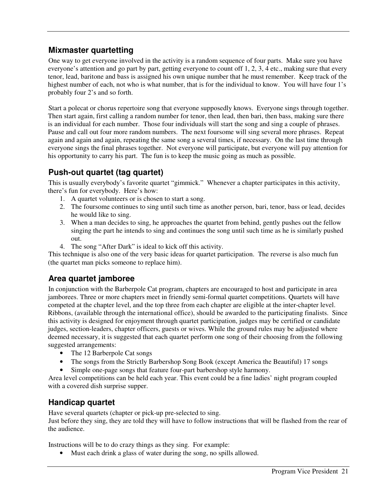#### **Mixmaster quartetting**

One way to get everyone involved in the activity is a random sequence of four parts. Make sure you have everyone's attention and go part by part, getting everyone to count off 1, 2, 3, 4 etc., making sure that every tenor, lead, baritone and bass is assigned his own unique number that he must remember. Keep track of the highest number of each, not who is what number, that is for the individual to know. You will have four 1's probably four 2's and so forth.

Start a polecat or chorus repertoire song that everyone supposedly knows. Everyone sings through together. Then start again, first calling a random number for tenor, then lead, then bari, then bass, making sure there is an individual for each number. Those four individuals will start the song and sing a couple of phrases. Pause and call out four more random numbers. The next foursome will sing several more phrases. Repeat again and again and again, repeating the same song a several times, if necessary. On the last time through everyone sings the final phrases together. Not everyone will participate, but everyone will pay attention for his opportunity to carry his part. The fun is to keep the music going as much as possible.

#### **Push-out quartet (tag quartet)**

This is usually everybody's favorite quartet "gimmick." Whenever a chapter participates in this activity, there's fun for everybody. Here's how:

- 1. A quartet volunteers or is chosen to start a song.
- 2. The foursome continues to sing until such time as another person, bari, tenor, bass or lead, decides he would like to sing.
- 3. When a man decides to sing, he approaches the quartet from behind, gently pushes out the fellow singing the part he intends to sing and continues the song until such time as he is similarly pushed out.
- 4. The song "After Dark" is ideal to kick off this activity.

This technique is also one of the very basic ideas for quartet participation. The reverse is also much fun (the quartet man picks someone to replace him).

#### **Area quartet jamboree**

In conjunction with the Barberpole Cat program, chapters are encouraged to host and participate in area jamborees. Three or more chapters meet in friendly semi-formal quartet competitions. Quartets will have competed at the chapter level, and the top three from each chapter are eligible at the inter-chapter level. Ribbons, (available through the international office), should be awarded to the participating finalists. Since this activity is designed for enjoyment through quartet participation, judges may be certified or candidate judges, section-leaders, chapter officers, guests or wives. While the ground rules may be adjusted where deemed necessary, it is suggested that each quartet perform one song of their choosing from the following suggested arrangements:

- The 12 Barberpole Cat songs
- The songs from the Strictly Barbershop Song Book (except America the Beautiful) 17 songs
- Simple one-page songs that feature four-part barbershop style harmony.

Area level competitions can be held each year. This event could be a fine ladies' night program coupled with a covered dish surprise supper.

#### **Handicap quartet**

Have several quartets (chapter or pick-up pre-selected to sing.

Just before they sing, they are told they will have to follow instructions that will be flashed from the rear of the audience.

Instructions will be to do crazy things as they sing. For example:

• Must each drink a glass of water during the song, no spills allowed.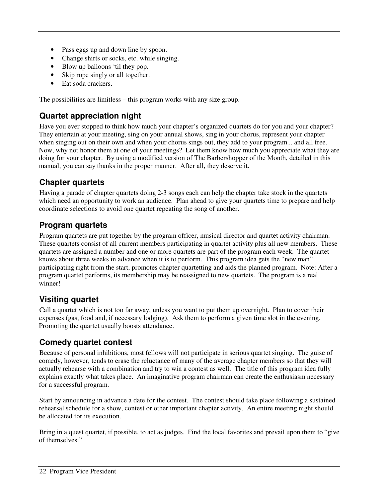- Pass eggs up and down line by spoon.
- Change shirts or socks, etc. while singing.
- Blow up balloons 'til they pop.
- Skip rope singly or all together.
- Eat soda crackers.

The possibilities are limitless – this program works with any size group.

#### **Quartet appreciation night**

Have you ever stopped to think how much your chapter's organized quartets do for you and your chapter? They entertain at your meeting, sing on your annual shows, sing in your chorus, represent your chapter when singing out on their own and when your chorus sings out, they add to your program... and all free. Now, why not honor them at one of your meetings? Let them know how much you appreciate what they are doing for your chapter. By using a modified version of The Barbershopper of the Month, detailed in this manual, you can say thanks in the proper manner. After all, they deserve it.

#### **Chapter quartets**

Having a parade of chapter quartets doing 2-3 songs each can help the chapter take stock in the quartets which need an opportunity to work an audience. Plan ahead to give your quartets time to prepare and help coordinate selections to avoid one quartet repeating the song of another.

#### **Program quartets**

Program quartets are put together by the program officer, musical director and quartet activity chairman. These quartets consist of all current members participating in quartet activity plus all new members. These quartets are assigned a number and one or more quartets are part of the program each week. The quartet knows about three weeks in advance when it is to perform. This program idea gets the "new man" participating right from the start, promotes chapter quartetting and aids the planned program. Note: After a program quartet performs, its membership may be reassigned to new quartets. The program is a real winner!

#### **Visiting quartet**

Call a quartet which is not too far away, unless you want to put them up overnight. Plan to cover their expenses (gas, food and, if necessary lodging). Ask them to perform a given time slot in the evening. Promoting the quartet usually boosts attendance.

#### **Comedy quartet contest**

Because of personal inhibitions, most fellows will not participate in serious quartet singing. The guise of comedy, however, tends to erase the reluctance of many of the average chapter members so that they will actually rehearse with a combination and try to win a contest as well. The title of this program idea fully explains exactly what takes place. An imaginative program chairman can create the enthusiasm necessary for a successful program.

Start by announcing in advance a date for the contest. The contest should take place following a sustained rehearsal schedule for a show, contest or other important chapter activity. An entire meeting night should be allocated for its execution.

Bring in a quest quartet, if possible, to act as judges. Find the local favorites and prevail upon them to "give of themselves."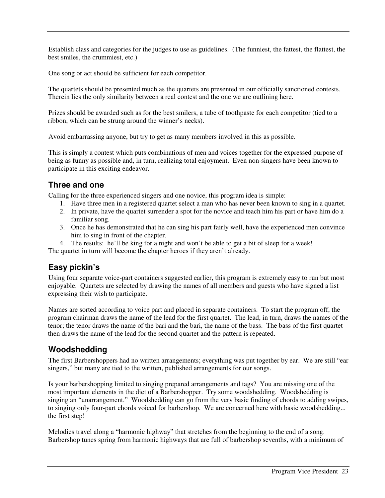Establish class and categories for the judges to use as guidelines. (The funniest, the fattest, the flattest, the best smiles, the crummiest, etc.)

One song or act should be sufficient for each competitor.

The quartets should be presented much as the quartets are presented in our officially sanctioned contests. Therein lies the only similarity between a real contest and the one we are outlining here.

Prizes should be awarded such as for the best smilers, a tube of toothpaste for each competitor (tied to a ribbon, which can be strung around the winner's necks).

Avoid embarrassing anyone, but try to get as many members involved in this as possible.

This is simply a contest which puts combinations of men and voices together for the expressed purpose of being as funny as possible and, in turn, realizing total enjoyment. Even non-singers have been known to participate in this exciting endeavor.

#### **Three and one**

Calling for the three experienced singers and one novice, this program idea is simple:

- 1. Have three men in a registered quartet select a man who has never been known to sing in a quartet.
- 2. In private, have the quartet surrender a spot for the novice and teach him his part or have him do a familiar song.
- 3. Once he has demonstrated that he can sing his part fairly well, have the experienced men convince him to sing in front of the chapter.
- 4. The results: he'll be king for a night and won't be able to get a bit of sleep for a week!

The quartet in turn will become the chapter heroes if they aren't already.

#### **Easy pickin's**

Using four separate voice-part containers suggested earlier, this program is extremely easy to run but most enjoyable. Quartets are selected by drawing the names of all members and guests who have signed a list expressing their wish to participate.

Names are sorted according to voice part and placed in separate containers. To start the program off, the program chairman draws the name of the lead for the first quartet. The lead, in turn, draws the names of the tenor; the tenor draws the name of the bari and the bari, the name of the bass. The bass of the first quartet then draws the name of the lead for the second quartet and the pattern is repeated.

#### **Woodshedding**

The first Barbershoppers had no written arrangements; everything was put together by ear. We are still "ear singers," but many are tied to the written, published arrangements for our songs.

Is your barbershopping limited to singing prepared arrangements and tags? You are missing one of the most important elements in the diet of a Barbershopper. Try some woodshedding. Woodshedding is singing an "unarrangement." Woodshedding can go from the very basic finding of chords to adding swipes, to singing only four-part chords voiced for barbershop. We are concerned here with basic woodshedding... the first step!

Melodies travel along a "harmonic highway" that stretches from the beginning to the end of a song. Barbershop tunes spring from harmonic highways that are full of barbershop sevenths, with a minimum of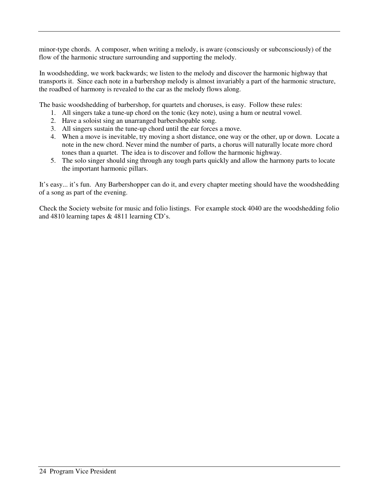minor-type chords. A composer, when writing a melody, is aware (consciously or subconsciously) of the flow of the harmonic structure surrounding and supporting the melody.

In woodshedding, we work backwards; we listen to the melody and discover the harmonic highway that transports it. Since each note in a barbershop melody is almost invariably a part of the harmonic structure, the roadbed of harmony is revealed to the car as the melody flows along.

The basic woodshedding of barbershop, for quartets and choruses, is easy. Follow these rules:

- 1. All singers take a tune-up chord on the tonic (key note), using a hum or neutral vowel.
- 2. Have a soloist sing an unarranged barbershopable song.
- 3. All singers sustain the tune-up chord until the ear forces a move.
- 4. When a move is inevitable, try moving a short distance, one way or the other, up or down. Locate a note in the new chord. Never mind the number of parts, a chorus will naturally locate more chord tones than a quartet. The idea is to discover and follow the harmonic highway.
- 5. The solo singer should sing through any tough parts quickly and allow the harmony parts to locate the important harmonic pillars.

It's easy... it's fun. Any Barbershopper can do it, and every chapter meeting should have the woodshedding of a song as part of the evening.

Check the Society website for music and folio listings. For example stock 4040 are the woodshedding folio and 4810 learning tapes & 4811 learning CD's.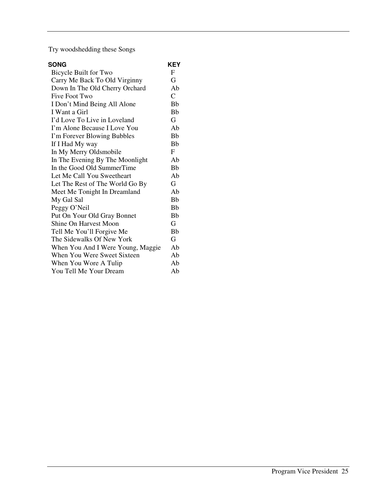Try woodshedding these Songs

| <b>SONG</b>                       | KEY                  |
|-----------------------------------|----------------------|
| Bicycle Built for Two             | F                    |
| Carry Me Back To Old Virginny     | G                    |
| Down In The Old Cherry Orchard    | Ab                   |
| Five Foot Two                     | $\mathcal{C}$        |
| I Don't Mind Being All Alone      | <b>B<sub>b</sub></b> |
| I Want a Girl                     | Bb                   |
| I'd Love To Live in Loveland      | G                    |
| I'm Alone Because I Love You      | Ab                   |
| I'm Forever Blowing Bubbles       | <b>Bb</b>            |
| If I Had My way                   | <b>B<sub>b</sub></b> |
| In My Merry Oldsmobile            | F                    |
| In The Evening By The Moonlight   | Ab                   |
| In the Good Old SummerTime        | <b>B<sub>b</sub></b> |
| Let Me Call You Sweetheart        | Ab                   |
| Let The Rest of The World Go By   | G                    |
| Meet Me Tonight In Dreamland      | Ah                   |
| My Gal Sal                        | <b>Bb</b>            |
| Peggy O'Neil                      | <b>B<sub>b</sub></b> |
| Put On Your Old Gray Bonnet       | Bb                   |
| <b>Shine On Harvest Moon</b>      | G                    |
| Tell Me You'll Forgive Me         | <b>Bb</b>            |
| The Sidewalks Of New York         | G.                   |
| When You And I Were Young, Maggie | Ab                   |
| When You Were Sweet Sixteen       | Ab                   |
| When You Wore A Tulip             | Ab                   |
| You Tell Me Your Dream            | Ab                   |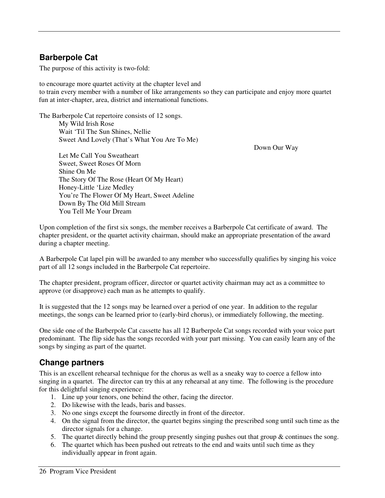#### **Barberpole Cat**

The purpose of this activity is two-fold:

to encourage more quartet activity at the chapter level and to train every member with a number of like arrangements so they can participate and enjoy more quartet fun at inter-chapter, area, district and international functions.

The Barberpole Cat repertoire consists of 12 songs. My Wild Irish Rose Wait 'Til The Sun Shines, Nellie

Down Our Way

 Let Me Call You Sweatheart Sweet, Sweet Roses Of Morn Shine On Me The Story Of The Rose (Heart Of My Heart) Honey-Little 'Lize Medley You're The Flower Of My Heart, Sweet Adeline Down By The Old Mill Stream You Tell Me Your Dream

Sweet And Lovely (That's What You Are To Me)

Upon completion of the first six songs, the member receives a Barberpole Cat certificate of award. The chapter president, or the quartet activity chairman, should make an appropriate presentation of the award during a chapter meeting.

A Barberpole Cat lapel pin will be awarded to any member who successfully qualifies by singing his voice part of all 12 songs included in the Barberpole Cat repertoire.

The chapter president, program officer, director or quartet activity chairman may act as a committee to approve (or disapprove) each man as he attempts to qualify.

It is suggested that the 12 songs may be learned over a period of one year. In addition to the regular meetings, the songs can be learned prior to (early-bird chorus), or immediately following, the meeting.

One side one of the Barberpole Cat cassette has all 12 Barberpole Cat songs recorded with your voice part predominant. The flip side has the songs recorded with your part missing. You can easily learn any of the songs by singing as part of the quartet.

#### **Change partners**

This is an excellent rehearsal technique for the chorus as well as a sneaky way to coerce a fellow into singing in a quartet. The director can try this at any rehearsal at any time. The following is the procedure for this delightful singing experience:

- 1. Line up your tenors, one behind the other, facing the director.
- 2. Do likewise with the leads, baris and basses.
- 3. No one sings except the foursome directly in front of the director.
- 4. On the signal from the director, the quartet begins singing the prescribed song until such time as the director signals for a change.
- 5. The quartet directly behind the group presently singing pushes out that group & continues the song.
- 6. The quartet which has been pushed out retreats to the end and waits until such time as they individually appear in front again.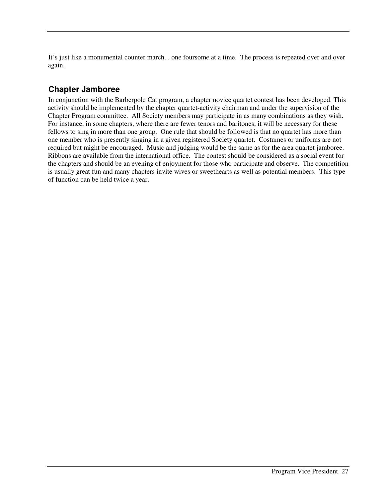It's just like a monumental counter march... one foursome at a time. The process is repeated over and over again.

#### **Chapter Jamboree**

In conjunction with the Barberpole Cat program, a chapter novice quartet contest has been developed. This activity should be implemented by the chapter quartet-activity chairman and under the supervision of the Chapter Program committee. All Society members may participate in as many combinations as they wish. For instance, in some chapters, where there are fewer tenors and baritones, it will be necessary for these fellows to sing in more than one group. One rule that should be followed is that no quartet has more than one member who is presently singing in a given registered Society quartet. Costumes or uniforms are not required but might be encouraged. Music and judging would be the same as for the area quartet jamboree. Ribbons are available from the international office. The contest should be considered as a social event for the chapters and should be an evening of enjoyment for those who participate and observe. The competition is usually great fun and many chapters invite wives or sweethearts as well as potential members. This type of function can be held twice a year.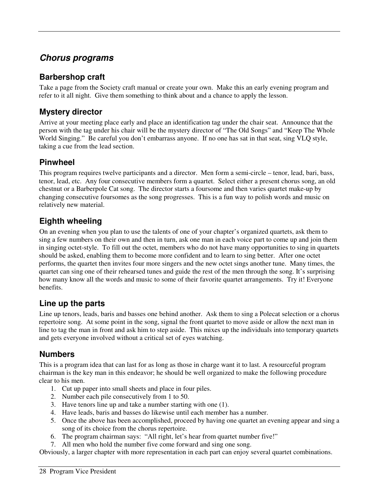#### **Chorus programs**

#### **Barbershop craft**

Take a page from the Society craft manual or create your own. Make this an early evening program and refer to it all night. Give them something to think about and a chance to apply the lesson.

#### **Mystery director**

Arrive at your meeting place early and place an identification tag under the chair seat. Announce that the person with the tag under his chair will be the mystery director of "The Old Songs" and "Keep The Whole World Singing." Be careful you don't embarrass anyone. If no one has sat in that seat, sing VLQ style, taking a cue from the lead section.

#### **Pinwheel**

This program requires twelve participants and a director. Men form a semi-circle – tenor, lead, bari, bass, tenor, lead, etc. Any four consecutive members form a quartet. Select either a present chorus song, an old chestnut or a Barberpole Cat song. The director starts a foursome and then varies quartet make-up by changing consecutive foursomes as the song progresses. This is a fun way to polish words and music on relatively new material.

#### **Eighth wheeling**

On an evening when you plan to use the talents of one of your chapter's organized quartets, ask them to sing a few numbers on their own and then in turn, ask one man in each voice part to come up and join them in singing octet-style. To fill out the octet, members who do not have many opportunities to sing in quartets should be asked, enabling them to become more confident and to learn to sing better. After one octet performs, the quartet then invites four more singers and the new octet sings another tune. Many times, the quartet can sing one of their rehearsed tunes and guide the rest of the men through the song. It's surprising how many know all the words and music to some of their favorite quartet arrangements. Try it! Everyone benefits.

#### **Line up the parts**

Line up tenors, leads, baris and basses one behind another. Ask them to sing a Polecat selection or a chorus repertoire song. At some point in the song, signal the front quartet to move aside or allow the next man in line to tag the man in front and ask him to step aside. This mixes up the individuals into temporary quartets and gets everyone involved without a critical set of eyes watching.

#### **Numbers**

This is a program idea that can last for as long as those in charge want it to last. A resourceful program chairman is the key man in this endeavor; he should be well organized to make the following procedure clear to his men.

- 1. Cut up paper into small sheets and place in four piles.
- 2. Number each pile consecutively from 1 to 50.
- 3. Have tenors line up and take a number starting with one (1).
- 4. Have leads, baris and basses do likewise until each member has a number.
- 5. Once the above has been accomplished, proceed by having one quartet an evening appear and sing a song of its choice from the chorus repertoire.
- 6. The program chairman says: "All right, let's hear from quartet number five!"
- 7. All men who hold the number five come forward and sing one song.

Obviously, a larger chapter with more representation in each part can enjoy several quartet combinations.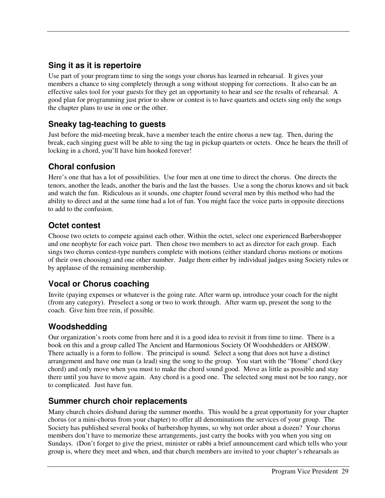#### **Sing it as it is repertoire**

Use part of your program time to sing the songs your chorus has learned in rehearsal. It gives your members a chance to sing completely through a song without stopping for corrections. It also can be an effective sales tool for your guests for they get an opportunity to hear and see the results of rehearsal. A good plan for programming just prior to show or contest is to have quartets and octets sing only the songs the chapter plans to use in one or the other.

#### **Sneaky tag-teaching to guests**

Just before the mid-meeting break, have a member teach the entire chorus a new tag. Then, during the break, each singing guest will be able to sing the tag in pickup quartets or octets. Once he hears the thrill of locking in a chord, you'll have him hooked forever!

#### **Choral confusion**

Here's one that has a lot of possibilities. Use four men at one time to direct the chorus. One directs the tenors, another the leads, another the baris and the last the basses. Use a song the chorus knows and sit back and watch the fun. Ridiculous as it sounds, one chapter found several men by this method who had the ability to direct and at the same time had a lot of fun. You might face the voice parts in opposite directions to add to the confusion.

#### **Octet contest**

Choose two octets to compete against each other. Within the octet, select one experienced Barbershopper and one neophyte for each voice part. Then chose two members to act as director for each group. Each sings two chorus contest-type numbers complete with motions (either standard chorus motions or motions of their own choosing) and one other number. Judge them either by individual judges using Society rules or by applause of the remaining membership.

#### **Vocal or Chorus coaching**

Invite (paying expenses or whatever is the going rate. After warm up, introduce your coach for the night (from any category). Preselect a song or two to work through. After warm up, present the song to the coach. Give him free rein, if possible.

#### **Woodshedding**

Our organization's roots come from here and it is a good idea to revisit it from time to time. There is a book on this and a group called The Ancient and Harmonious Society Of Woodshedders or AHSOW. There actually is a form to follow. The principal is sound. Select a song that does not have a distinct arrangement and have one man (a lead) sing the song to the group. You start with the "Home" chord (key chord) and only move when you must to make the chord sound good. Move as little as possible and stay there until you have to move again. Any chord is a good one. The selected song must not be too rangy, nor to complicated. Just have fun.

#### **Summer church choir replacements**

Many church choirs disband during the summer months. This would be a great opportunity for your chapter chorus (or a mini-chorus from your chapter) to offer all denominations the services of your group. The Society has published several books of barbershop hymns, so why not order about a dozen? Your chorus members don't have to memorize these arrangements, just carry the books with you when you sing on Sundays. (Don't forget to give the priest, minister or rabbi a brief announcement card which tells who your group is, where they meet and when, and that church members are invited to your chapter's rehearsals as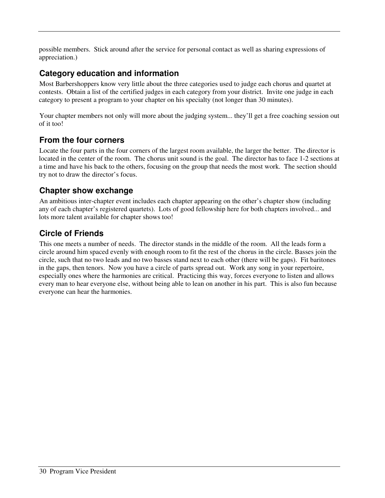possible members. Stick around after the service for personal contact as well as sharing expressions of appreciation.)

#### **Category education and information**

Most Barbershoppers know very little about the three categories used to judge each chorus and quartet at contests. Obtain a list of the certified judges in each category from your district. Invite one judge in each category to present a program to your chapter on his specialty (not longer than 30 minutes).

Your chapter members not only will more about the judging system... they'll get a free coaching session out of it too!

#### **From the four corners**

Locate the four parts in the four corners of the largest room available, the larger the better. The director is located in the center of the room. The chorus unit sound is the goal. The director has to face 1-2 sections at a time and have his back to the others, focusing on the group that needs the most work. The section should try not to draw the director's focus.

#### **Chapter show exchange**

An ambitious inter-chapter event includes each chapter appearing on the other's chapter show (including any of each chapter's registered quartets). Lots of good fellowship here for both chapters involved... and lots more talent available for chapter shows too!

#### **Circle of Friends**

This one meets a number of needs. The director stands in the middle of the room. All the leads form a circle around him spaced evenly with enough room to fit the rest of the chorus in the circle. Basses join the circle, such that no two leads and no two basses stand next to each other (there will be gaps). Fit baritones in the gaps, then tenors. Now you have a circle of parts spread out. Work any song in your repertoire, especially ones where the harmonies are critical. Practicing this way, forces everyone to listen and allows every man to hear everyone else, without being able to lean on another in his part. This is also fun because everyone can hear the harmonies.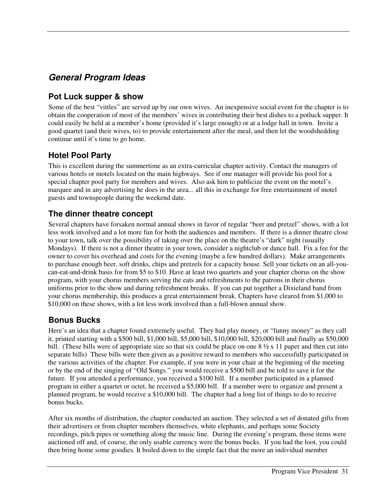### **General Program Ideas**

#### **Pot Luck supper & show**

Some of the best "vittles" are served up by our own wives. An inexpensive social event for the chapter is to obtain the cooperation of most of the members' wives in contributing their best dishes to a potluck supper. It could easily be held at a member's home (provided it's large enough) or at a lodge hall in town. Invite a good quartet (and their wives, to) to provide entertainment after the meal, and then let the woodshedding continue until it's time to go home.

#### **Hotel Pool Party**

This is excellent during the summertime as an extra-curricular chapter activity. Contact the managers of various hotels or motels located on the main highways. See if one manager will provide his pool for a special chapter pool party for members and wives. Also ask him to publicize the event on the motel's marquee and in any advertising he does in the area... all this in exchange for free entertainment of motel guests and townspeople during the weekend date.

#### **The dinner theatre concept**

Several chapters have forsaken normal annual shows in favor of regular "beer and pretzel" shows, with a lot less work involved and a lot more fun for both the audiences and members. If there is a dinner theatre close to your town, talk over the possibility of taking over the place on the theatre's "dark" night (usually Mondays). If there is not a dinner theatre in your town, consider a nightclub or dance hall. Fix a fee for the owner to cover his overhead and costs for the evening (maybe a few hundred dollars). Make arrangements to purchase enough beer, soft drinks, chips and pretzels for a capacity house. Sell your tickets on an all-youcan-eat-and-drink basis for from \$5 to \$10. Have at least two quartets and your chapter chorus on the show program, with your chorus members serving the eats and refreshments to the patrons in their chorus uniforms prior to the show and during refreshment breaks. If you can put together a Dixieland band from your chorus membership, this produces a great entertainment break. Chapters have cleared from \$1,000 to \$10,000 on these shows, with a lot less work involved than a full-blown annual show.

#### **Bonus Bucks**

Here's an idea that a chapter found extremely useful. They had play money, or "funny money" as they call it, printed starting with a \$500 bill, \$1,000 bill, \$5,000 bill, \$10,000 bill, \$20,000 bill and finally as \$50,000 bill. (These bills were of appropriate size so that six could be place on one  $8\frac{1}{2} \times 11$  paper and then cut into separate bills) These bills were then given as a positive reward to members who successfully participated in the various activities of the chapter. For example, if you were in your chair at the beginning of the meeting or by the end of the singing of "Old Songs." you would receive a \$500 bill and be told to save it for the future. If you attended a performance, you received a \$100 bill. If a member participated in a planned program in either a quartet or octet, he received a \$5,000 bill. If a member were to organize and present a planned program, he would receive a \$10,000 bill. The chapter had a long list of things to do to receive bonus bucks.

After six months of distribution, the chapter conducted an auction. They selected a set of donated gifts from their advertisers or from chapter members themselves, white elephants, and perhaps some Society recordings, pitch pipes or something along the music line. During the evening's program, those items were auctioned off and, of course, the only usable currency were the bonus bucks. If you had the loot, you could then bring home some goodies. It boiled down to the simple fact that the more an individual member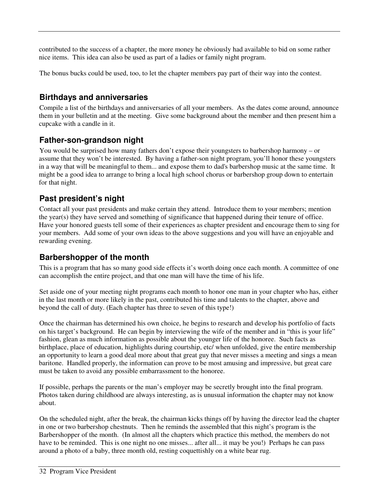contributed to the success of a chapter, the more money he obviously had available to bid on some rather nice items. This idea can also be used as part of a ladies or family night program.

The bonus bucks could be used, too, to let the chapter members pay part of their way into the contest.

#### **Birthdays and anniversaries**

Compile a list of the birthdays and anniversaries of all your members. As the dates come around, announce them in your bulletin and at the meeting. Give some background about the member and then present him a cupcake with a candle in it.

#### **Father-son-grandson night**

You would be surprised how many fathers don't expose their youngsters to barbershop harmony – or assume that they won't be interested. By having a father-son night program, you'll honor these youngsters in a way that will be meaningful to them... and expose them to dad's barbershop music at the same time. It might be a good idea to arrange to bring a local high school chorus or barbershop group down to entertain for that night.

#### **Past president's night**

Contact all your past presidents and make certain they attend. Introduce them to your members; mention the year(s) they have served and something of significance that happened during their tenure of office. Have your honored guests tell some of their experiences as chapter president and encourage them to sing for your members. Add some of your own ideas to the above suggestions and you will have an enjoyable and rewarding evening.

#### **Barbershopper of the month**

This is a program that has so many good side effects it's worth doing once each month. A committee of one can accomplish the entire project, and that one man will have the time of his life.

Set aside one of your meeting night programs each month to honor one man in your chapter who has, either in the last month or more likely in the past, contributed his time and talents to the chapter, above and beyond the call of duty. (Each chapter has three to seven of this type!)

Once the chairman has determined his own choice, he begins to research and develop his portfolio of facts on his target's background. He can begin by interviewing the wife of the member and in "this is your life" fashion, glean as much information as possible about the younger life of the honoree. Such facts as birthplace, place of education, highlights during courtship, etc/ when unfolded, give the entire membership an opportunity to learn a good deal more about that great guy that never misses a meeting and sings a mean baritone. Handled properly, the information can prove to be most amusing and impressive, but great care must be taken to avoid any possible embarrassment to the honoree.

If possible, perhaps the parents or the man's employer may be secretly brought into the final program. Photos taken during childhood are always interesting, as is unusual information the chapter may not know about.

On the scheduled night, after the break, the chairman kicks things off by having the director lead the chapter in one or two barbershop chestnuts. Then he reminds the assembled that this night's program is the Barbershopper of the month. (In almost all the chapters which practice this method, the members do not have to be reminded. This is one night no one misses... after all... it may be you!) Perhaps he can pass around a photo of a baby, three month old, resting coquettishly on a white bear rug.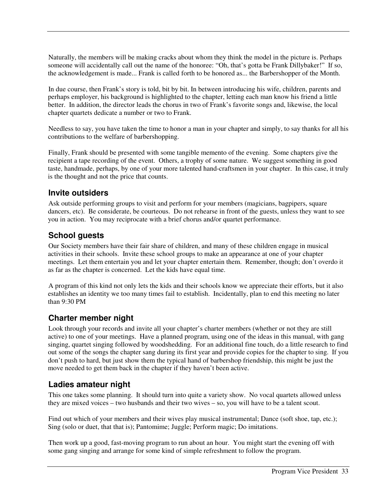Naturally, the members will be making cracks about whom they think the model in the picture is. Perhaps someone will accidentally call out the name of the honoree: "Oh, that's gotta be Frank Dillybaker!" If so, the acknowledgement is made... Frank is called forth to be honored as... the Barbershopper of the Month.

In due course, then Frank's story is told, bit by bit. In between introducing his wife, children, parents and perhaps employer, his background is highlighted to the chapter, letting each man know his friend a little better. In addition, the director leads the chorus in two of Frank's favorite songs and, likewise, the local chapter quartets dedicate a number or two to Frank.

Needless to say, you have taken the time to honor a man in your chapter and simply, to say thanks for all his contributions to the welfare of barbershopping.

Finally, Frank should be presented with some tangible memento of the evening. Some chapters give the recipient a tape recording of the event. Others, a trophy of some nature. We suggest something in good taste, handmade, perhaps, by one of your more talented hand-craftsmen in your chapter. In this case, it truly is the thought and not the price that counts.

#### **Invite outsiders**

Ask outside performing groups to visit and perform for your members (magicians, bagpipers, square dancers, etc). Be considerate, be courteous. Do not rehearse in front of the guests, unless they want to see you in action. You may reciprocate with a brief chorus and/or quartet performance.

#### **School guests**

Our Society members have their fair share of children, and many of these children engage in musical activities in their schools. Invite these school groups to make an appearance at one of your chapter meetings. Let them entertain you and let your chapter entertain them. Remember, though; don't overdo it as far as the chapter is concerned. Let the kids have equal time.

A program of this kind not only lets the kids and their schools know we appreciate their efforts, but it also establishes an identity we too many times fail to establish. Incidentally, plan to end this meeting no later than 9:30 PM

#### **Charter member night**

Look through your records and invite all your chapter's charter members (whether or not they are still active) to one of your meetings. Have a planned program, using one of the ideas in this manual, with gang singing, quartet singing followed by woodshedding. For an additional fine touch, do a little research to find out some of the songs the chapter sang during its first year and provide copies for the chapter to sing. If you don't push to hard, but just show them the typical hand of barbershop friendship, this might be just the move needed to get them back in the chapter if they haven't been active.

#### **Ladies amateur night**

This one takes some planning. It should turn into quite a variety show. No vocal quartets allowed unless they are mixed voices – two husbands and their two wives – so, you will have to be a talent scout.

Find out which of your members and their wives play musical instrumental; Dance (soft shoe, tap, etc.); Sing (solo or duet, that that is); Pantomime; Juggle; Perform magic; Do imitations.

Then work up a good, fast-moving program to run about an hour. You might start the evening off with some gang singing and arrange for some kind of simple refreshment to follow the program.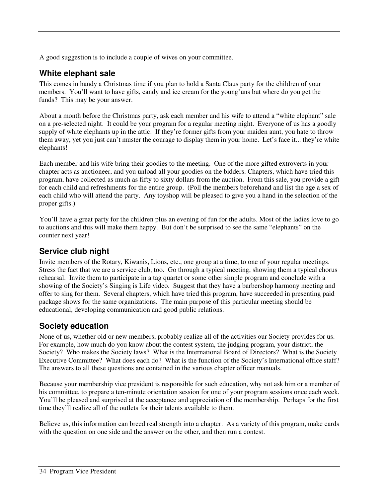A good suggestion is to include a couple of wives on your committee.

#### **White elephant sale**

This comes in handy a Christmas time if you plan to hold a Santa Claus party for the children of your members. You'll want to have gifts, candy and ice cream for the young'uns but where do you get the funds? This may be your answer.

About a month before the Christmas party, ask each member and his wife to attend a "white elephant" sale on a pre-selected night. It could be your program for a regular meeting night. Everyone of us has a goodly supply of white elephants up in the attic. If they're former gifts from your maiden aunt, you hate to throw them away, yet you just can't muster the courage to display them in your home. Let's face it... they're white elephants!

Each member and his wife bring their goodies to the meeting. One of the more gifted extroverts in your chapter acts as auctioneer, and you unload all your goodies on the bidders. Chapters, which have tried this program, have collected as much as fifty to sixty dollars from the auction. From this sale, you provide a gift for each child and refreshments for the entire group. (Poll the members beforehand and list the age a sex of each child who will attend the party. Any toyshop will be pleased to give you a hand in the selection of the proper gifts.)

You'll have a great party for the children plus an evening of fun for the adults. Most of the ladies love to go to auctions and this will make them happy. But don't be surprised to see the same "elephants" on the counter next year!

#### **Service club night**

Invite members of the Rotary, Kiwanis, Lions, etc., one group at a time, to one of your regular meetings. Stress the fact that we are a service club, too. Go through a typical meeting, showing them a typical chorus rehearsal. Invite them to participate in a tag quartet or some other simple program and conclude with a showing of the Society's Singing is Life video. Suggest that they have a barbershop harmony meeting and offer to sing for them. Several chapters, which have tried this program, have succeeded in presenting paid package shows for the same organizations. The main purpose of this particular meeting should be educational, developing communication and good public relations.

#### **Society education**

None of us, whether old or new members, probably realize all of the activities our Society provides for us. For example, how much do you know about the contest system, the judging program, your district, the Society? Who makes the Society laws? What is the International Board of Directors? What is the Society Executive Committee? What does each do? What is the function of the Society's International office staff? The answers to all these questions are contained in the various chapter officer manuals.

Because your membership vice president is responsible for such education, why not ask him or a member of his committee, to prepare a ten-minute orientation session for one of your program sessions once each week. You'll be pleased and surprised at the acceptance and appreciation of the membership. Perhaps for the first time they'll realize all of the outlets for their talents available to them.

Believe us, this information can breed real strength into a chapter. As a variety of this program, make cards with the question on one side and the answer on the other, and then run a contest.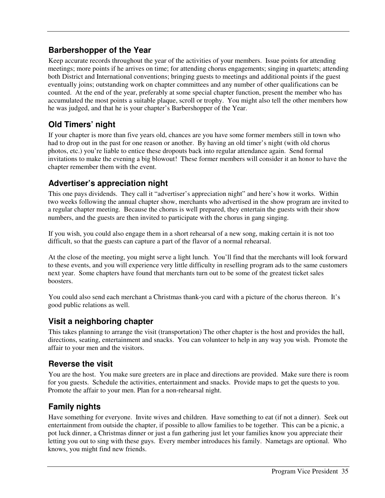#### **Barbershopper of the Year**

Keep accurate records throughout the year of the activities of your members. Issue points for attending meetings; more points if he arrives on time; for attending chorus engagements; singing in quartets; attending both District and International conventions; bringing guests to meetings and additional points if the guest eventually joins; outstanding work on chapter committees and any number of other qualifications can be counted. At the end of the year, preferably at some special chapter function, present the member who has accumulated the most points a suitable plaque, scroll or trophy. You might also tell the other members how he was judged, and that he is your chapter's Barbershopper of the Year.

#### **Old Timers' night**

If your chapter is more than five years old, chances are you have some former members still in town who had to drop out in the past for one reason or another. By having an old timer's night (with old chorus photos, etc.) you're liable to entice these dropouts back into regular attendance again. Send formal invitations to make the evening a big blowout! These former members will consider it an honor to have the chapter remember them with the event.

#### **Advertiser's appreciation night**

This one pays dividends. They call it "advertiser's appreciation night" and here's how it works. Within two weeks following the annual chapter show, merchants who advertised in the show program are invited to a regular chapter meeting. Because the chorus is well prepared, they entertain the guests with their show numbers, and the guests are then invited to participate with the chorus in gang singing.

If you wish, you could also engage them in a short rehearsal of a new song, making certain it is not too difficult, so that the guests can capture a part of the flavor of a normal rehearsal.

At the close of the meeting, you might serve a light lunch. You'll find that the merchants will look forward to these events, and you will experience very little difficulty in reselling program ads to the same customers next year. Some chapters have found that merchants turn out to be some of the greatest ticket sales boosters.

You could also send each merchant a Christmas thank-you card with a picture of the chorus thereon. It's good public relations as well.

#### **Visit a neighboring chapter**

This takes planning to arrange the visit (transportation) The other chapter is the host and provides the hall, directions, seating, entertainment and snacks. You can volunteer to help in any way you wish. Promote the affair to your men and the visitors.

#### **Reverse the visit**

You are the host. You make sure greeters are in place and directions are provided. Make sure there is room for you guests. Schedule the activities, entertainment and snacks. Provide maps to get the quests to you. Promote the affair to your men. Plan for a non-rehearsal night.

#### **Family nights**

Have something for everyone. Invite wives and children. Have something to eat (if not a dinner). Seek out entertainment from outside the chapter, if possible to allow families to be together. This can be a picnic, a pot luck dinner, a Christmas dinner or just a fun gathering just let your families know you appreciate their letting you out to sing with these guys. Every member introduces his family. Nametags are optional. Who knows, you might find new friends.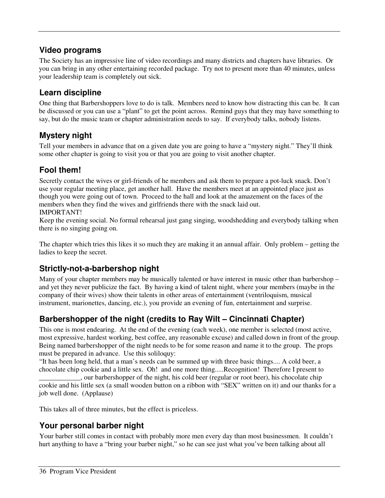#### **Video programs**

The Society has an impressive line of video recordings and many districts and chapters have libraries. Or you can bring in any other entertaining recorded package. Try not to present more than 40 minutes, unless your leadership team is completely out sick.

#### **Learn discipline**

One thing that Barbershoppers love to do is talk. Members need to know how distracting this can be. It can be discussed or you can use a "plant" to get the point across. Remind guys that they may have something to say, but do the music team or chapter administration needs to say. If everybody talks, nobody listens.

#### **Mystery night**

Tell your members in advance that on a given date you are going to have a "mystery night." They'll think some other chapter is going to visit you or that you are going to visit another chapter.

#### **Fool them!**

Secretly contact the wives or girl-friends of he members and ask them to prepare a pot-luck snack. Don't use your regular meeting place, get another hall. Have the members meet at an appointed place just as though you were going out of town. Proceed to the hall and look at the amazement on the faces of the members when they find the wives and girlfriends there with the snack laid out.

#### IMPORTANT!

Keep the evening social. No formal rehearsal just gang singing, woodshedding and everybody talking when there is no singing going on.

The chapter which tries this likes it so much they are making it an annual affair. Only problem – getting the ladies to keep the secret.

#### **Strictly-not-a-barbershop night**

Many of your chapter members may be musically talented or have interest in music other than barbershop – and yet they never publicize the fact. By having a kind of talent night, where your members (maybe in the company of their wives) show their talents in other areas of entertainment (ventriloquism, musical instrument, marionettes, dancing, etc.), you provide an evening of fun, entertainment and surprise.

#### **Barbershopper of the night (credits to Ray Wilt – Cincinnati Chapter)**

This one is most endearing. At the end of the evening (each week), one member is selected (most active, most expressive, hardest working, best coffee, any reasonable excuse) and called down in front of the group. Being named barbershopper of the night needs to be for some reason and name it to the group. The props must be prepared in advance. Use this soliloquy:

"It has been long held, that a man's needs can be summed up with three basic things.... A cold beer, a chocolate chip cookie and a little sex. Oh! and one more thing.....Recognition! Therefore I present to

\_\_\_\_\_\_\_\_\_\_\_\_, our barbershopper of the night, his cold beer (regular or root beer), his chocolate chip cookie and his little sex (a small wooden button on a ribbon with "SEX" written on it) and our thanks for a job well done. (Applause)

This takes all of three minutes, but the effect is priceless.

#### **Your personal barber night**

Your barber still comes in contact with probably more men every day than most businessmen. It couldn't hurt anything to have a "bring your barber night," so he can see just what you've been talking about all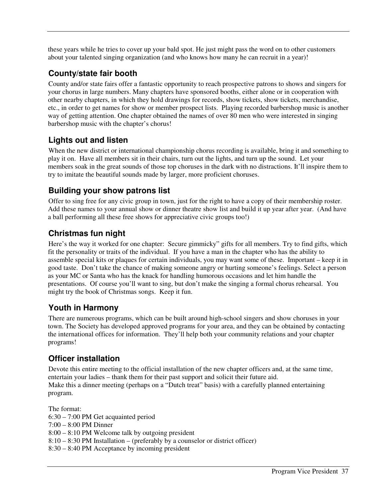these years while he tries to cover up your bald spot. He just might pass the word on to other customers about your talented singing organization (and who knows how many he can recruit in a year)!

#### **County/state fair booth**

County and/or state fairs offer a fantastic opportunity to reach prospective patrons to shows and singers for your chorus in large numbers. Many chapters have sponsored booths, either alone or in cooperation with other nearby chapters, in which they hold drawings for records, show tickets, show tickets, merchandise, etc., in order to get names for show or member prospect lists. Playing recorded barbershop music is another way of getting attention. One chapter obtained the names of over 80 men who were interested in singing barbershop music with the chapter's chorus!

#### **Lights out and listen**

When the new district or international championship chorus recording is available, bring it and something to play it on. Have all members sit in their chairs, turn out the lights, and turn up the sound. Let your members soak in the great sounds of those top choruses in the dark with no distractions. It'll inspire them to try to imitate the beautiful sounds made by larger, more proficient choruses.

#### **Building your show patrons list**

Offer to sing free for any civic group in town, just for the right to have a copy of their membership roster. Add these names to your annual show or dinner theatre show list and build it up year after year. (And have a ball performing all these free shows for appreciative civic groups too!)

#### **Christmas fun night**

Here's the way it worked for one chapter: Secure gimmicky" gifts for all members. Try to find gifts, which fit the personality or traits of the individual. If you have a man in the chapter who has the ability to assemble special kits or plaques for certain individuals, you may want some of these. Important – keep it in good taste. Don't take the chance of making someone angry or hurting someone's feelings. Select a person as your MC or Santa who has the knack for handling humorous occasions and let him handle the presentations. Of course you'll want to sing, but don't make the singing a formal chorus rehearsal. You might try the book of Christmas songs. Keep it fun.

#### **Youth in Harmony**

There are numerous programs, which can be built around high-school singers and show choruses in your town. The Society has developed approved programs for your area, and they can be obtained by contacting the international offices for information. They'll help both your community relations and your chapter programs!

#### **Officer installation**

Devote this entire meeting to the official installation of the new chapter officers and, at the same time, entertain your ladies – thank them for their past support and solicit their future aid. Make this a dinner meeting (perhaps on a "Dutch treat" basis) with a carefully planned entertaining program.

The format: 6:30 – 7:00 PM Get acquainted period 7:00 – 8:00 PM Dinner 8:00 – 8:10 PM Welcome talk by outgoing president 8:10 – 8:30 PM Installation – (preferably by a counselor or district officer) 8:30 – 8:40 PM Acceptance by incoming president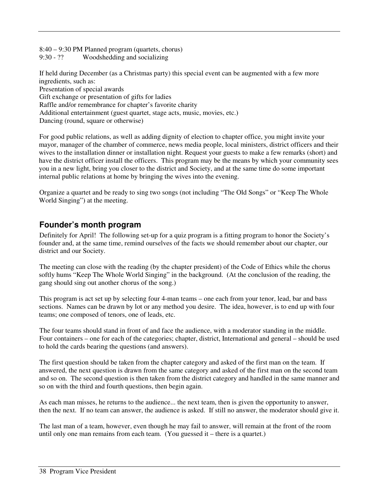8:40 – 9:30 PM Planned program (quartets, chorus) 9:30 - ?? Woodshedding and socializing

If held during December (as a Christmas party) this special event can be augmented with a few more ingredients, such as: Presentation of special awards Gift exchange or presentation of gifts for ladies

Raffle and/or remembrance for chapter's favorite charity

Additional entertainment (guest quartet, stage acts, music, movies, etc.)

Dancing (round, square or otherwise)

For good public relations, as well as adding dignity of election to chapter office, you might invite your mayor, manager of the chamber of commerce, news media people, local ministers, district officers and their wives to the installation dinner or installation night. Request your guests to make a few remarks (short) and have the district officer install the officers. This program may be the means by which your community sees you in a new light, bring you closer to the district and Society, and at the same time do some important internal public relations at home by bringing the wives into the evening.

Organize a quartet and be ready to sing two songs (not including "The Old Songs" or "Keep The Whole World Singing") at the meeting.

#### **Founder's month program**

Definitely for April! The following set-up for a quiz program is a fitting program to honor the Society's founder and, at the same time, remind ourselves of the facts we should remember about our chapter, our district and our Society.

The meeting can close with the reading (by the chapter president) of the Code of Ethics while the chorus softly hums "Keep The Whole World Singing" in the background. (At the conclusion of the reading, the gang should sing out another chorus of the song.)

This program is act set up by selecting four 4-man teams – one each from your tenor, lead, bar and bass sections. Names can be drawn by lot or any method you desire. The idea, however, is to end up with four teams; one composed of tenors, one of leads, etc.

The four teams should stand in front of and face the audience, with a moderator standing in the middle. Four containers – one for each of the categories; chapter, district, International and general – should be used to hold the cards bearing the questions (and answers).

The first question should be taken from the chapter category and asked of the first man on the team. If answered, the next question is drawn from the same category and asked of the first man on the second team and so on. The second question is then taken from the district category and handled in the same manner and so on with the third and fourth questions, then begin again.

As each man misses, he returns to the audience... the next team, then is given the opportunity to answer, then the next. If no team can answer, the audience is asked. If still no answer, the moderator should give it.

The last man of a team, however, even though he may fail to answer, will remain at the front of the room until only one man remains from each team. (You guessed it – there is a quartet.)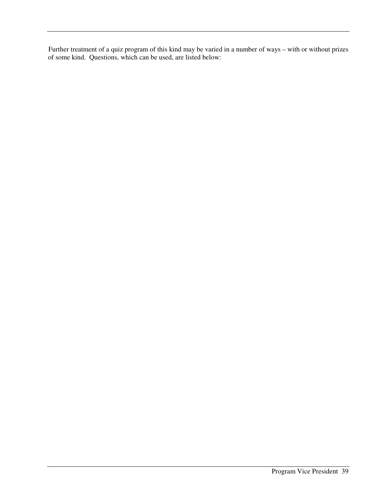Further treatment of a quiz program of this kind may be varied in a number of ways – with or without prizes of some kind. Questions, which can be used, are listed below: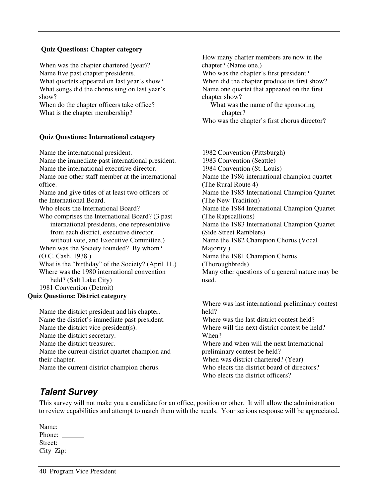#### **Quiz Questions: Chapter category**

When was the chapter chartered (year)? Name five past chapter presidents. What quartets appeared on last year's show? What songs did the chorus sing on last year's show?

When do the chapter officers take office? What is the chapter membership?

#### **Quiz Questions: International category**

Name the international president.

Name the immediate past international president. Name the international executive director. Name one other staff member at the international office. Name and give titles of at least two officers of the International Board. Who elects the International Board? Who comprises the International Board? (3 past international presidents, one representative from each district, executive director, without vote, and Executive Committee.) When was the Society founded? By whom? (O.C. Cash, 1938.) What is the "birthday" of the Society? (April 11.) Where was the 1980 international convention held? (Salt Lake City) 1981 Convention (Detroit)

#### **Quiz Questions: District category**

Name the district president and his chapter. Name the district's immediate past president. Name the district vice president(s). Name the district secretary. Name the district treasurer. Name the current district quartet champion and their chapter. Name the current district champion chorus.

How many charter members are now in the chapter? (Name one.) Who was the chapter's first president? When did the chapter produce its first show? Name one quartet that appeared on the first chapter show? What was the name of the sponsoring

chapter?

Who was the chapter's first chorus director?

1982 Convention (Pittsburgh) 1983 Convention (Seattle) 1984 Convention (St. Louis) Name the 1986 international champion quartet (The Rural Route 4) Name the 1985 International Champion Quartet (The New Tradition) Name the 1984 International Champion Quartet (The Rapscallions) Name the 1983 International Champion Quartet (Side Street Ramblers) Name the 1982 Champion Chorus (Vocal Majority.) Name the 1981 Champion Chorus (Thoroughbreds) Many other questions of a general nature may be used.

Where was last international preliminary contest held? Where was the last district contest held? Where will the next district contest be held? When? Where and when will the next International preliminary contest be held? When was district chartered? (Year) Who elects the district board of directors? Who elects the district officers?

#### **Talent Survey**

This survey will not make you a candidate for an office, position or other. It will allow the administration to review capabilities and attempt to match them with the needs. Your serious response will be appreciated.

| Name:     |  |
|-----------|--|
| Phone:    |  |
| Street:   |  |
| City Zip: |  |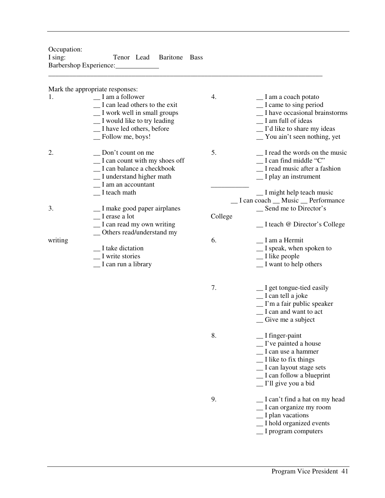Occupation: I sing: Tenor Lead Baritone Bass Barbershop Experience:

Mark the appropriate responses:

|         | main the appropriate responses.                                                                                                                                             |         |                                                                                                                                                                                                 |
|---------|-----------------------------------------------------------------------------------------------------------------------------------------------------------------------------|---------|-------------------------------------------------------------------------------------------------------------------------------------------------------------------------------------------------|
| 1.      | $\Box$ I am a follower<br>_I can lead others to the exit<br>_I work well in small groups<br>_I would like to try leading<br>_I have led others, before<br>_Follow me, boys! | 4.      | _I am a coach potato<br>$\equiv$ I came to sing period<br>_I have occasional brainstorms<br>I am full of ideas<br>_ I'd like to share my ideas<br>_ You ain't seen nothing, yet                 |
| 2.      | _ Don't count on me<br>$\Gamma$ and count with my shoes off<br>_I can balance a checkbook<br>_I understand higher math<br>$\mathbf{I}$ am an accountant                     | 5.      | I read the words on the music<br>$\Box$ I can find middle "C"<br>_I read music after a fashion<br>$\Box$ I play an instrument                                                                   |
| 3.      | $\Gamma$ I teach math<br>_I make good paper airplanes                                                                                                                       |         | _I might help teach music<br>_I can coach _ Music _ Performance<br>Send me to Director's                                                                                                        |
|         | _I erase a lot<br>_I can read my own writing                                                                                                                                | College | _I teach @ Director's College                                                                                                                                                                   |
| writing | _ Others read/understand my<br>_I take dictation<br>I write stories<br>_I can run a library                                                                                 | 6.      | I am a Hermit<br>_I speak, when spoken to<br>$\equiv$ I like people<br>$\equiv$ I want to help others                                                                                           |
|         |                                                                                                                                                                             | 7.      | _I get tongue-tied easily<br>$\equiv$ I can tell a joke<br>$\Gamma$ m a fair public speaker<br>_I can and want to act<br>$\equiv$ Give me a subject                                             |
|         |                                                                                                                                                                             | 8.      | $\equiv$ I finger-paint<br>$\Gamma$ ive painted a house<br>_I can use a hammer<br>$\equiv$ I like to fix things<br>_I can layout stage sets<br>I can follow a blueprint<br>_I'll give you a bid |
|         |                                                                                                                                                                             | 9.      | I can't find a hat on my head<br>_I can organize my room<br>I plan vacations<br>_I hold organized events<br>$\equiv$ I program computers                                                        |

\_\_\_\_\_\_\_\_\_\_\_\_\_\_\_\_\_\_\_\_\_\_\_\_\_\_\_\_\_\_\_\_\_\_\_\_\_\_\_\_\_\_\_\_\_\_\_\_\_\_\_\_\_\_\_\_\_\_\_\_\_\_\_\_\_\_\_\_\_\_\_\_\_\_\_\_\_\_\_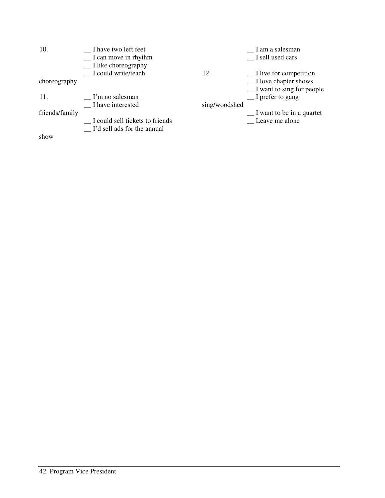| 10.            | I have two left feet<br>$\Gamma$ an move in rhythm |               | I am a salesman<br>I sell used cars  |
|----------------|----------------------------------------------------|---------------|--------------------------------------|
|                | $\Box$ I like choreography                         |               |                                      |
|                | I could write/teach                                | 12.           | $\Box$ I live for competition        |
| choreography   |                                                    |               | $\Box$ I love chapter shows          |
|                |                                                    |               | $\mathbf{I}$ want to sing for people |
| 11.            | I'm no salesman                                    |               | $\Gamma$ prefer to gang              |
|                | I have interested                                  | sing/woodshed |                                      |
| friends/family |                                                    |               | $\Gamma$ I want to be in a quartet   |
|                | I could sell tickets to friends                    |               | Leave me alone                       |
|                | _ I'd sell ads for the annual                      |               |                                      |
| show           |                                                    |               |                                      |